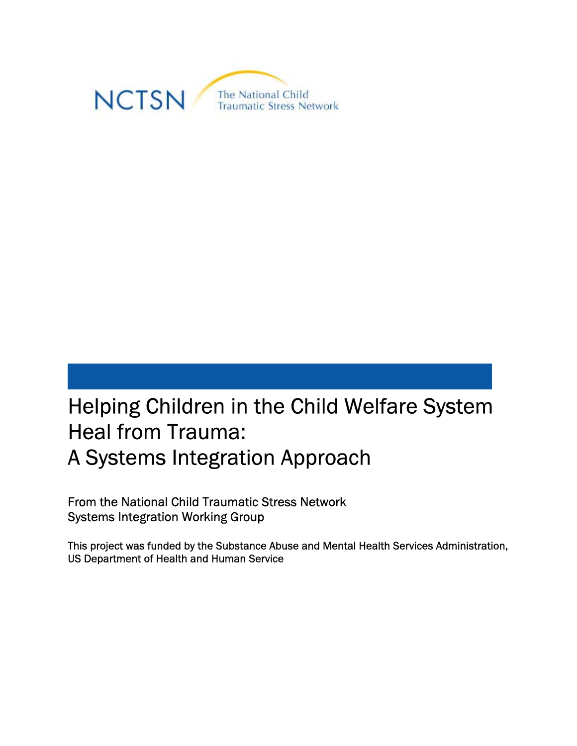

# Helping Children in the Child Welfare System Heal from Trauma: A Systems Integration Approach

From the National Child Traumatic Stress Network Systems Integration Working Group

This project was funded by the Substance Abuse and Mental Health Services Administration, US Department of Health and Human Service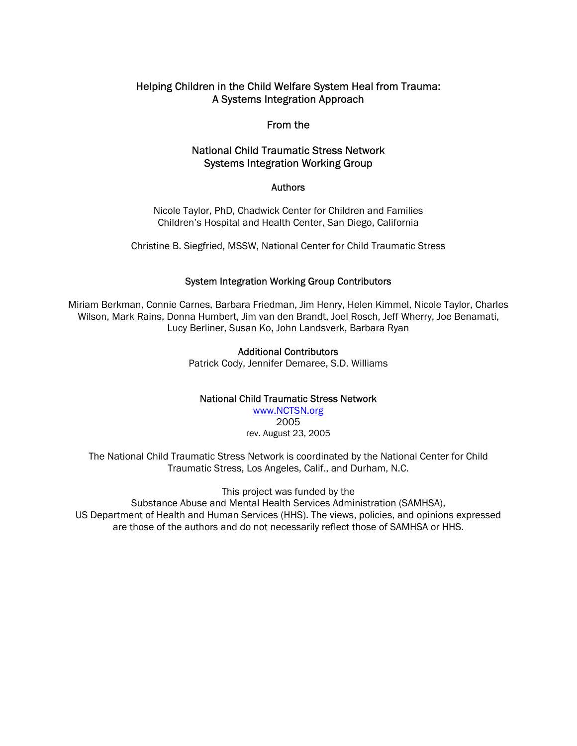#### Helping Children in the Child Welfare System Heal from Trauma: A Systems Integration Approach

#### From the

#### National Child Traumatic Stress Network Systems Integration Working Group

#### Authors

Nicole Taylor, PhD, Chadwick Center for Children and Families Children's Hospital and Health Center, San Diego, California

Christine B. Siegfried, MSSW, National Center for Child Traumatic Stress

#### System Integration Working Group Contributors

Miriam Berkman, Connie Carnes, Barbara Friedman, Jim Henry, Helen Kimmel, Nicole Taylor, Charles Wilson, Mark Rains, Donna Humbert, Jim van den Brandt, Joel Rosch, Jeff Wherry, Joe Benamati, Lucy Berliner, Susan Ko, John Landsverk, Barbara Ryan

#### Additional Contributors

Patrick Cody, Jennifer Demaree, S.D. Williams

#### National Child Traumatic Stress Network

www.NCTSN.org 2005 rev. August 23, 2005

The National Child Traumatic Stress Network is coordinated by the National Center for Child Traumatic Stress, Los Angeles, Calif., and Durham, N.C.

This project was funded by the Substance Abuse and Mental Health Services Administration (SAMHSA), US Department of Health and Human Services (HHS). The views, policies, and opinions expressed are those of the authors and do not necessarily reflect those of SAMHSA or HHS.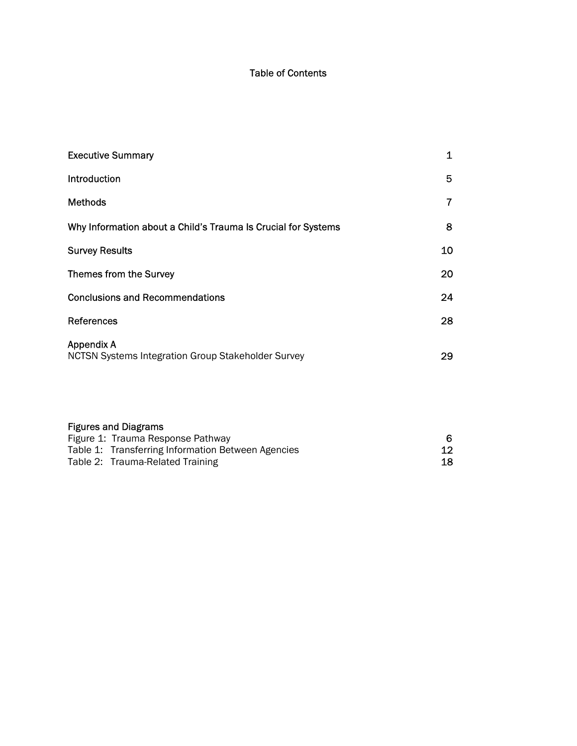#### Table of Contents

| <b>Executive Summary</b>                                                | 1  |
|-------------------------------------------------------------------------|----|
| <b>Introduction</b>                                                     | 5  |
| <b>Methods</b>                                                          | 7  |
| Why Information about a Child's Trauma Is Crucial for Systems           | 8  |
| <b>Survey Results</b>                                                   | 10 |
| Themes from the Survey                                                  | 20 |
| <b>Conclusions and Recommendations</b>                                  | 24 |
| References                                                              | 28 |
| <b>Appendix A</b><br>NCTSN Systems Integration Group Stakeholder Survey | 29 |

| <b>Figures and Diagrams</b>                        |                 |
|----------------------------------------------------|-----------------|
| Figure 1: Trauma Response Pathway                  | 6.              |
| Table 1: Transferring Information Between Agencies | 12 <sub>1</sub> |
| Table 2: Trauma-Related Training                   | 18              |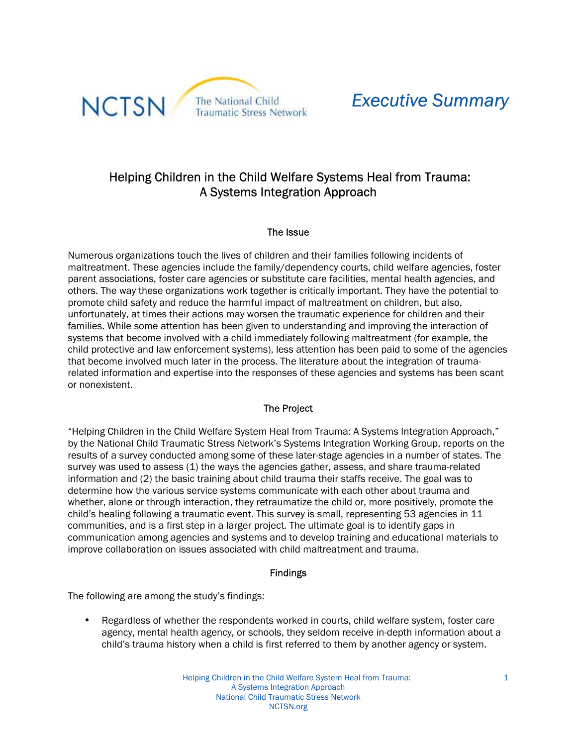

## *Executive Summary*

## Helping Children in the Child Welfare Systems Heal from Trauma: A Systems Integration Approach

#### The Issue

Numerous organizations touch the lives of children and their families following incidents of maltreatment. These agencies include the family/dependency courts, child welfare agencies, foster parent associations, foster care agencies or substitute care facilities, mental health agencies, and others. The way these organizations work together is critically important. They have the potential to promote child safety and reduce the harmful impact of maltreatment on children, but also, unfortunately, at times their actions may worsen the traumatic experience for children and their families. While some attention has been given to understanding and improving the interaction of systems that become involved with a child immediately following maltreatment (for example, the child protective and law enforcement systems), less attention has been paid to some of the agencies that become involved much later in the process. The literature about the integration of traumarelated information and expertise into the responses of these agencies and systems has been scant or nonexistent.

#### The Project

"Helping Children in the Child Welfare System Heal from Trauma: A Systems Integration Approach," by the National Child Traumatic Stress Network's Systems Integration Working Group, reports on the results of a survey conducted among some of these later-stage agencies in a number of states. The survey was used to assess (1) the ways the agencies gather, assess, and share trauma-related information and (2) the basic training about child trauma their staffs receive. The goal was to determine how the various service systems communicate with each other about trauma and whether, alone or through interaction, they retraumatize the child or, more positively, promote the child's healing following a traumatic event. This survey is small, representing 53 agencies in  $11$ communities, and is a first step in a larger project. The ultimate goal is to identify gaps in communication among agencies and systems and to develop training and educational materials to improve collaboration on issues associated with child maltreatment and trauma.

#### Findings

The following are among the study's findings:

• Regardless of whether the respondents worked in courts, child welfare system, foster care agency, mental health agency, or schools, they seldom receive in-depth information about a child's trauma history when a child is first referred to them by another agency or system.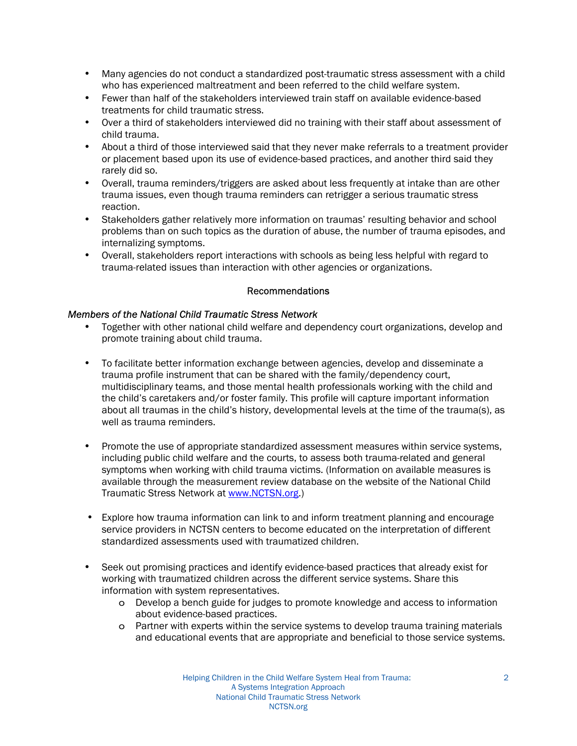- Many agencies do not conduct a standardized post-traumatic stress assessment with a child who has experienced maltreatment and been referred to the child welfare system.
- Fewer than half of the stakeholders interviewed train staff on available evidence-based treatments for child traumatic stress.
- Over a third of stakeholders interviewed did no training with their staff about assessment of child trauma.
- About a third of those interviewed said that they never make referrals to a treatment provider or placement based upon its use of evidence-based practices, and another third said they rarely did so.
- Overall, trauma reminders/triggers are asked about less frequently at intake than are other trauma issues, even though trauma reminders can retrigger a serious traumatic stress reaction.
- Stakeholders gather relatively more information on traumas' resulting behavior and school problems than on such topics as the duration of abuse, the number of trauma episodes, and internalizing symptoms.
- Overall, stakeholders report interactions with schools as being less helpful with regard to trauma-related issues than interaction with other agencies or organizations.

#### Recommendations

#### *Members of the National Child Traumatic Stress Network*

- Together with other national child welfare and dependency court organizations, develop and promote training about child trauma.
- To facilitate better information exchange between agencies, develop and disseminate a trauma profile instrument that can be shared with the family/dependency court, multidisciplinary teams, and those mental health professionals working with the child and the child's caretakers and/or foster family. This profile will capture important information about all traumas in the child's history, developmental levels at the time of the trauma(s), as well as trauma reminders.
- Promote the use of appropriate standardized assessment measures within service systems, including public child welfare and the courts, to assess both trauma-related and general symptoms when working with child trauma victims. (Information on available measures is available through the measurement review database on the website of the National Child Traumatic Stress Network at www.NCTSN.org.)
- Explore how trauma information can link to and inform treatment planning and encourage service providers in NCTSN centers to become educated on the interpretation of different standardized assessments used with traumatized children.
- Seek out promising practices and identify evidence-based practices that already exist for working with traumatized children across the different service systems. Share this information with system representatives.
	- o Develop a bench guide for judges to promote knowledge and access to information about evidence-based practices.
	- o Partner with experts within the service systems to develop trauma training materials and educational events that are appropriate and beneficial to those service systems.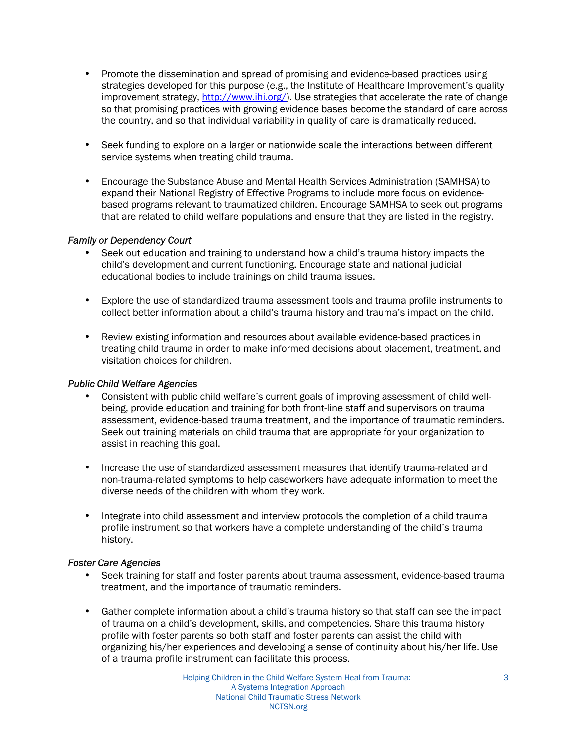- Promote the dissemination and spread of promising and evidence-based practices using strategies developed for this purpose (e.g., the Institute of Healthcare Improvement's quality improvement strategy, http://www.ihi.org/). Use strategies that accelerate the rate of change so that promising practices with growing evidence bases become the standard of care across the country, and so that individual variability in quality of care is dramatically reduced.
- Seek funding to explore on a larger or nationwide scale the interactions between different service systems when treating child trauma.
- Encourage the Substance Abuse and Mental Health Services Administration (SAMHSA) to expand their National Registry of Effective Programs to include more focus on evidencebased programs relevant to traumatized children. Encourage SAMHSA to seek out programs that are related to child welfare populations and ensure that they are listed in the registry.

#### *Family or Dependency Court*

- Seek out education and training to understand how a child's trauma history impacts the child's development and current functioning. Encourage state and national judicial educational bodies to include trainings on child trauma issues.
- Explore the use of standardized trauma assessment tools and trauma profile instruments to collect better information about a child's trauma history and trauma's impact on the child.
- Review existing information and resources about available evidence-based practices in treating child trauma in order to make informed decisions about placement, treatment, and visitation choices for children.

#### *Public Child Welfare Agencies*

- Consistent with public child welfare's current goals of improving assessment of child wellbeing, provide education and training for both front-line staff and supervisors on trauma assessment, evidence-based trauma treatment, and the importance of traumatic reminders. Seek out training materials on child trauma that are appropriate for your organization to assist in reaching this goal.
- Increase the use of standardized assessment measures that identify trauma-related and non-trauma-related symptoms to help caseworkers have adequate information to meet the diverse needs of the children with whom they work.
- Integrate into child assessment and interview protocols the completion of a child trauma profile instrument so that workers have a complete understanding of the child's trauma history.

#### *Foster Care Agencies*

- Seek training for staff and foster parents about trauma assessment, evidence-based trauma treatment, and the importance of traumatic reminders.
- Gather complete information about a child's trauma history so that staff can see the impact of trauma on a child's development, skills, and competencies. Share this trauma history profile with foster parents so both staff and foster parents can assist the child with organizing his/her experiences and developing a sense of continuity about his/her life. Use of a trauma profile instrument can facilitate this process.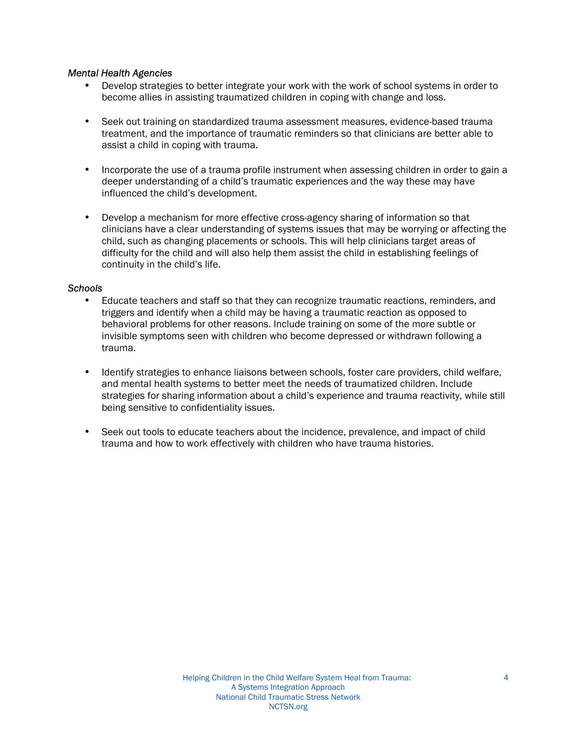#### *Mental Health Agencies*

- Develop strategies to better integrate your work with the work of school systems in order to become allies in assisting traumatized children in coping with change and loss.
- Seek out training on standardized trauma assessment measures, evidence-based trauma treatment, and the importance of traumatic reminders so that clinicians are better able to assist a child in coping with trauma.
- Incorporate the use of a trauma profile instrument when assessing children in order to gain a deeper understanding of a child's traumatic experiences and the way these may have influenced the child's development.
- Develop a mechanism for more effective cross-agency sharing of information so that clinicians have a clear understanding of systems issues that may be worrying or affecting the child, such as changing placements or schools. This will help clinicians target areas of difficulty for the child and will also help them assist the child in establishing feelings of continuity in the child's life.

#### *Schools*

- Educate teachers and staff so that they can recognize traumatic reactions, reminders, and triggers and identify when a child may be having a traumatic reaction as opposed to behavioral problems for other reasons. Include training on some of the more subtle or invisible symptoms seen with children who become depressed or withdrawn following a trauma.
- Identify strategies to enhance liaisons between schools, foster care providers, child welfare, and mental health systems to better meet the needs of traumatized children. Include strategies for sharing information about a child's experience and trauma reactivity, while still being sensitive to confidentiality issues.
- Seek out tools to educate teachers about the incidence, prevalence, and impact of child trauma and how to work effectively with children who have trauma histories.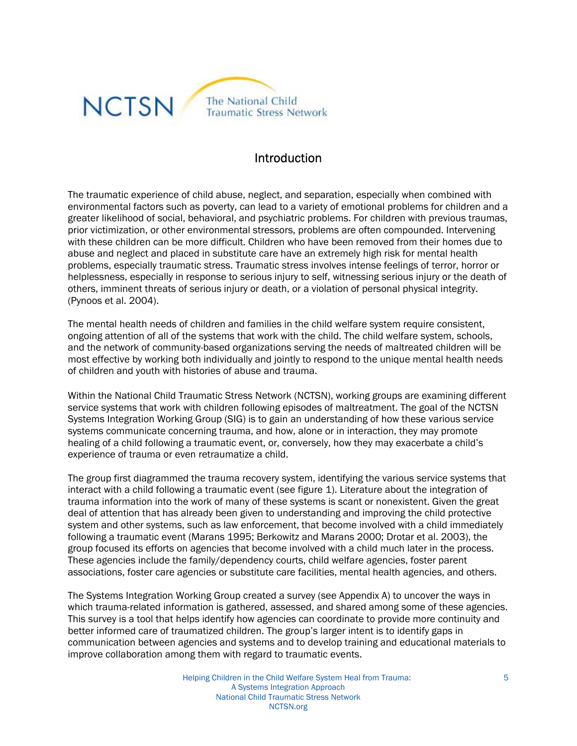

## **Introduction**

The traumatic experience of child abuse, neglect, and separation, especially when combined with environmental factors such as poverty, can lead to a variety of emotional problems for children and a greater likelihood of social, behavioral, and psychiatric problems. For children with previous traumas, prior victimization, or other environmental stressors, problems are often compounded. Intervening with these children can be more difficult. Children who have been removed from their homes due to abuse and neglect and placed in substitute care have an extremely high risk for mental health problems, especially traumatic stress. Traumatic stress involves intense feelings of terror, horror or helplessness, especially in response to serious injury to self, witnessing serious injury or the death of others, imminent threats of serious injury or death, or a violation of personal physical integrity. (Pynoos et al. 2004).

The mental health needs of children and families in the child welfare system require consistent, ongoing attention of all of the systems that work with the child. The child welfare system, schools, and the network of community-based organizations serving the needs of maltreated children will be most effective by working both individually and jointly to respond to the unique mental health needs of children and youth with histories of abuse and trauma.

Within the National Child Traumatic Stress Network (NCTSN), working groups are examining different service systems that work with children following episodes of maltreatment. The goal of the NCTSN Systems Integration Working Group (SIG) is to gain an understanding of how these various service systems communicate concerning trauma, and how, alone or in interaction, they may promote healing of a child following a traumatic event, or, conversely, how they may exacerbate a child's experience of trauma or even retraumatize a child.

The group first diagrammed the trauma recovery system, identifying the various service systems that interact with a child following a traumatic event (see figure 1). Literature about the integration of trauma information into the work of many of these systems is scant or nonexistent. Given the great deal of attention that has already been given to understanding and improving the child protective system and other systems, such as law enforcement, that become involved with a child immediately following a traumatic event (Marans 1995; Berkowitz and Marans 2000; Drotar et al. 2003), the group focused its efforts on agencies that become involved with a child much later in the process. These agencies include the family/dependency courts, child welfare agencies, foster parent associations, foster care agencies or substitute care facilities, mental health agencies, and others.

The Systems Integration Working Group created a survey (see Appendix A) to uncover the ways in which trauma-related information is gathered, assessed, and shared among some of these agencies. This survey is a tool that helps identify how agencies can coordinate to provide more continuity and better informed care of traumatized children. The group's larger intent is to identify gaps in communication between agencies and systems and to develop training and educational materials to improve collaboration among them with regard to traumatic events.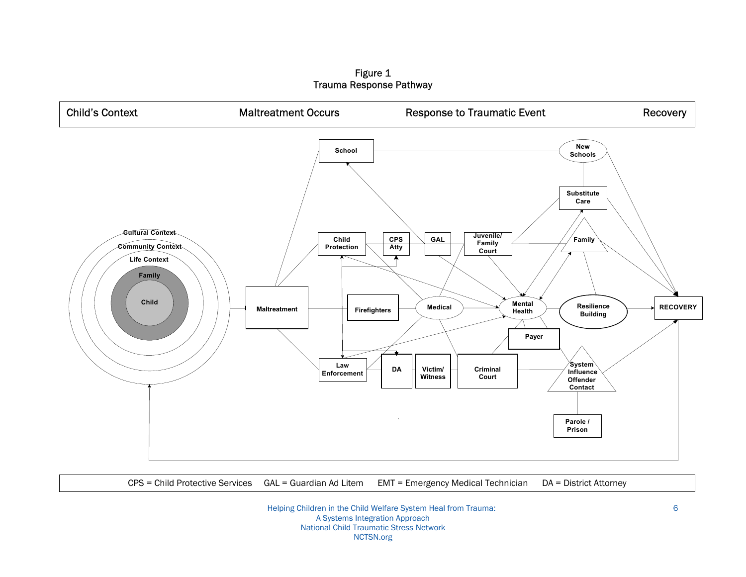Figure 1 Trauma Response Pathway



CPS = Child Protective Services GAL = Guardian Ad Litem EMT = Emergency Medical Technician DA = District Attorney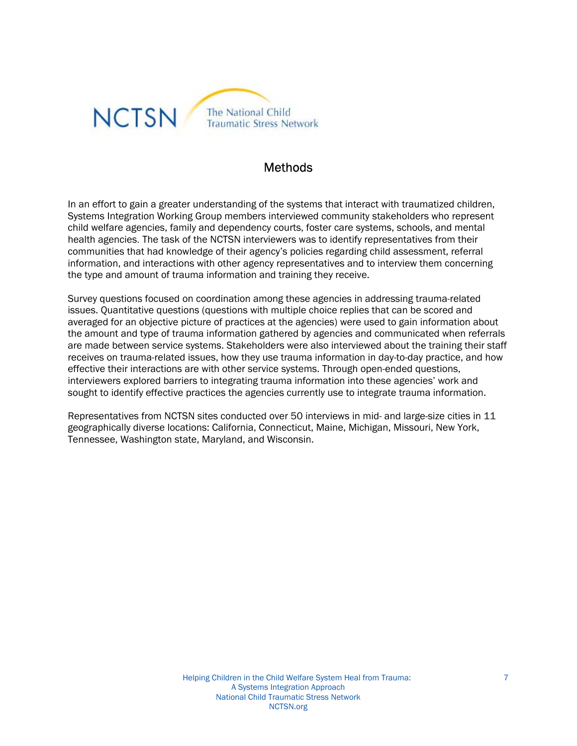

## Methods

In an effort to gain a greater understanding of the systems that interact with traumatized children, Systems Integration Working Group members interviewed community stakeholders who represent child welfare agencies, family and dependency courts, foster care systems, schools, and mental health agencies. The task of the NCTSN interviewers was to identify representatives from their communities that had knowledge of their agency's policies regarding child assessment, referral information, and interactions with other agency representatives and to interview them concerning the type and amount of trauma information and training they receive.

Survey questions focused on coordination among these agencies in addressing trauma-related issues. Quantitative questions (questions with multiple choice replies that can be scored and averaged for an objective picture of practices at the agencies) were used to gain information about the amount and type of trauma information gathered by agencies and communicated when referrals are made between service systems. Stakeholders were also interviewed about the training their staff receives on trauma-related issues, how they use trauma information in day-to-day practice, and how effective their interactions are with other service systems. Through open-ended questions, interviewers explored barriers to integrating trauma information into these agencies' work and sought to identify effective practices the agencies currently use to integrate trauma information.

Representatives from NCTSN sites conducted over 50 interviews in mid- and large-size cities in 11 geographically diverse locations: California, Connecticut, Maine, Michigan, Missouri, New York, Tennessee, Washington state, Maryland, and Wisconsin.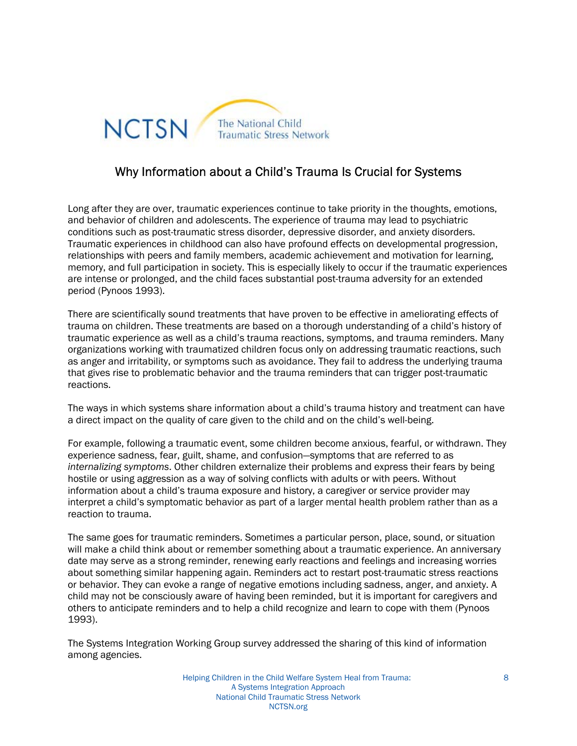

## Why Information about a Child's Trauma Is Crucial for Systems

Long after they are over, traumatic experiences continue to take priority in the thoughts, emotions, and behavior of children and adolescents. The experience of trauma may lead to psychiatric conditions such as post-traumatic stress disorder, depressive disorder, and anxiety disorders. Traumatic experiences in childhood can also have profound effects on developmental progression, relationships with peers and family members, academic achievement and motivation for learning, memory, and full participation in society. This is especially likely to occur if the traumatic experiences are intense or prolonged, and the child faces substantial post-trauma adversity for an extended period (Pynoos 1993).

There are scientifically sound treatments that have proven to be effective in ameliorating effects of trauma on children. These treatments are based on a thorough understanding of a child's history of traumatic experience as well as a child's trauma reactions, symptoms, and trauma reminders. Many organizations working with traumatized children focus only on addressing traumatic reactions, such as anger and irritability, or symptoms such as avoidance. They fail to address the underlying trauma that gives rise to problematic behavior and the trauma reminders that can trigger post-traumatic reactions.

The ways in which systems share information about a child's trauma history and treatment can have a direct impact on the quality of care given to the child and on the child's well-being.

For example, following a traumatic event, some children become anxious, fearful, or withdrawn. They experience sadness, fear, guilt, shame, and confusion-symptoms that are referred to as *internalizing symptoms*. Other children externalize their problems and express their fears by being hostile or using aggression as a way of solving conflicts with adults or with peers. Without information about a child's trauma exposure and history, a caregiver or service provider may interpret a child's symptomatic behavior as part of a larger mental health problem rather than as a reaction to trauma.

The same goes for traumatic reminders. Sometimes a particular person, place, sound, or situation will make a child think about or remember something about a traumatic experience. An anniversary date may serve as a strong reminder, renewing early reactions and feelings and increasing worries about something similar happening again. Reminders act to restart post-traumatic stress reactions or behavior. They can evoke a range of negative emotions including sadness, anger, and anxiety. A child may not be consciously aware of having been reminded, but it is important for caregivers and others to anticipate reminders and to help a child recognize and learn to cope with them (Pynoos 1993).

The Systems Integration Working Group survey addressed the sharing of this kind of information among agencies.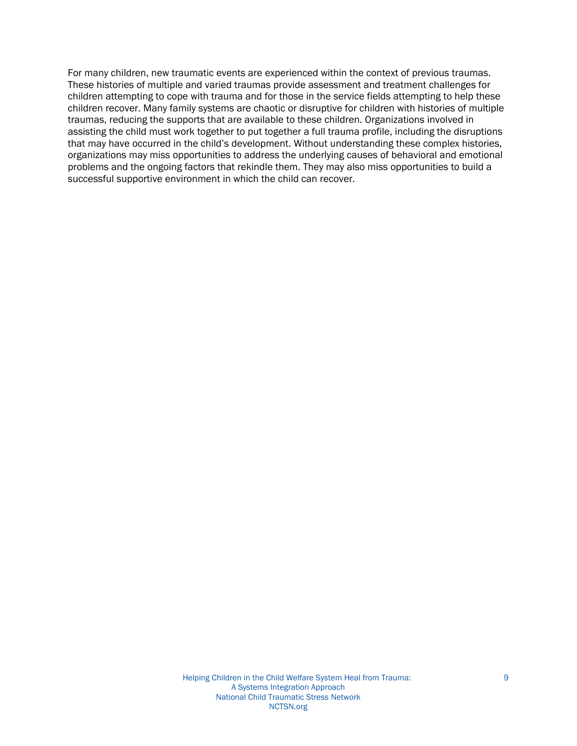For many children, new traumatic events are experienced within the context of previous traumas. These histories of multiple and varied traumas provide assessment and treatment challenges for children attempting to cope with trauma and for those in the service fields attempting to help these children recover. Many family systems are chaotic or disruptive for children with histories of multiple traumas, reducing the supports that are available to these children. Organizations involved in assisting the child must work together to put together a full trauma profile, including the disruptions that may have occurred in the child's development. Without understanding these complex histories, organizations may miss opportunities to address the underlying causes of behavioral and emotional problems and the ongoing factors that rekindle them. They may also miss opportunities to build a successful supportive environment in which the child can recover.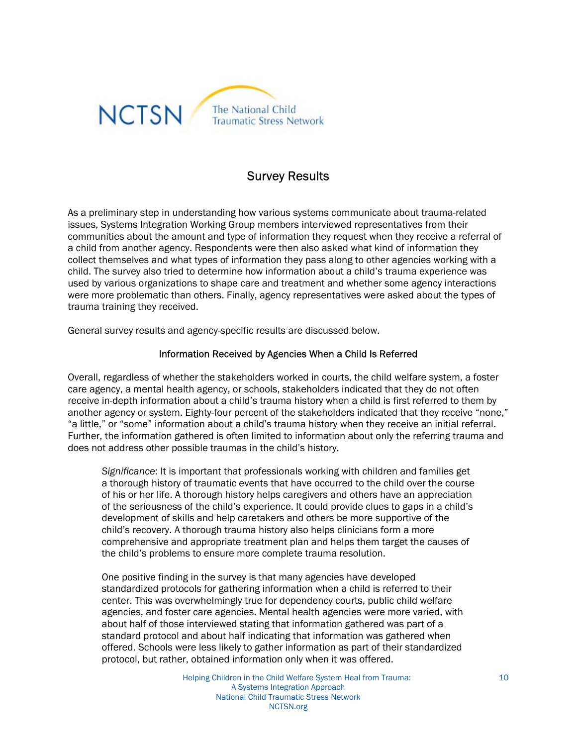

## Survey Results

As a preliminary step in understanding how various systems communicate about trauma-related issues, Systems Integration Working Group members interviewed representatives from their communities about the amount and type of information they request when they receive a referral of a child from another agency. Respondents were then also asked what kind of information they collect themselves and what types of information they pass along to other agencies working with a child. The survey also tried to determine how information about a child's trauma experience was used by various organizations to shape care and treatment and whether some agency interactions were more problematic than others. Finally, agency representatives were asked about the types of trauma training they received.

General survey results and agency-specific results are discussed below.

#### Information Received by Agencies When a Child Is Referred

Overall, regardless of whether the stakeholders worked in courts, the child welfare system, a foster care agency, a mental health agency, or schools, stakeholders indicated that they do not often receive in-depth information about a child's trauma history when a child is first referred to them by another agency or system. Eighty-four percent of the stakeholders indicated that they receive "none." "a little," or "some" information about a child's trauma history when they receive an initial referral. Further, the information gathered is often limited to information about only the referring trauma and does not address other possible traumas in the child's history.

*Significance*: It is important that professionals working with children and families get a thorough history of traumatic events that have occurred to the child over the course of his or her life. A thorough history helps caregivers and others have an appreciation of the seriousness of the child's experience. It could provide clues to gaps in a child's development of skills and help caretakers and others be more supportive of the child's recovery. A thorough trauma history also helps clinicians form a more comprehensive and appropriate treatment plan and helps them target the causes of the child's problems to ensure more complete trauma resolution.

One positive finding in the survey is that many agencies have developed standardized protocols for gathering information when a child is referred to their center. This was overwhelmingly true for dependency courts, public child welfare agencies, and foster care agencies. Mental health agencies were more varied, with about half of those interviewed stating that information gathered was part of a standard protocol and about half indicating that information was gathered when offered. Schools were less likely to gather information as part of their standardized protocol, but rather, obtained information only when it was offered.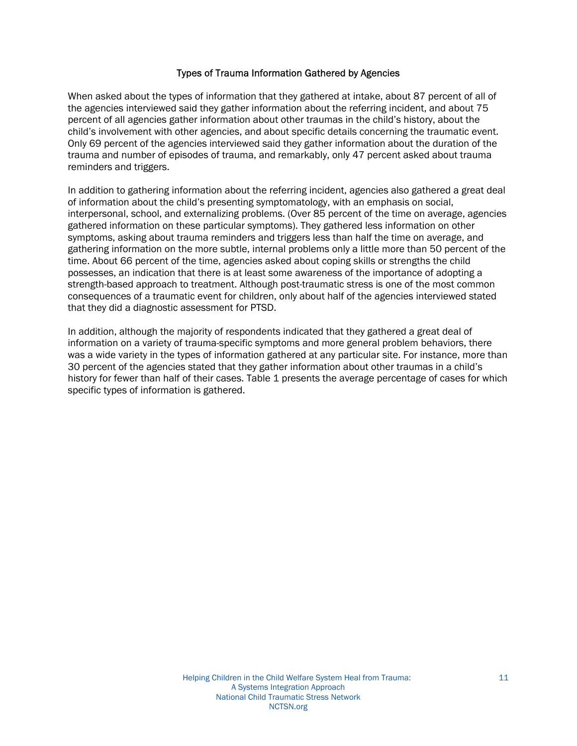#### Types of Trauma Information Gathered by Agencies

When asked about the types of information that they gathered at intake, about 87 percent of all of the agencies interviewed said they gather information about the referring incident, and about 75 percent of all agencies gather information about other traumas in the child's history, about the child's involvement with other agencies, and about specific details concerning the traumatic event. Only 69 percent of the agencies interviewed said they gather information about the duration of the trauma and number of episodes of trauma, and remarkably, only 47 percent asked about trauma reminders and triggers.

In addition to gathering information about the referring incident, agencies also gathered a great deal of information about the child's presenting symptomatology, with an emphasis on social, interpersonal, school, and externalizing problems. (Over 85 percent of the time on average, agencies gathered information on these particular symptoms). They gathered less information on other symptoms, asking about trauma reminders and triggers less than half the time on average, and gathering information on the more subtle, internal problems only a little more than 50 percent of the time. About 66 percent of the time, agencies asked about coping skills or strengths the child possesses, an indication that there is at least some awareness of the importance of adopting a strength-based approach to treatment. Although post-traumatic stress is one of the most common consequences of a traumatic event for children, only about half of the agencies interviewed stated that they did a diagnostic assessment for PTSD.

In addition, although the majority of respondents indicated that they gathered a great deal of information on a variety of trauma-specific symptoms and more general problem behaviors, there was a wide variety in the types of information gathered at any particular site. For instance, more than 30 percent of the agencies stated that they gather information about other traumas in a child's history for fewer than half of their cases. Table 1 presents the average percentage of cases for which specific types of information is gathered.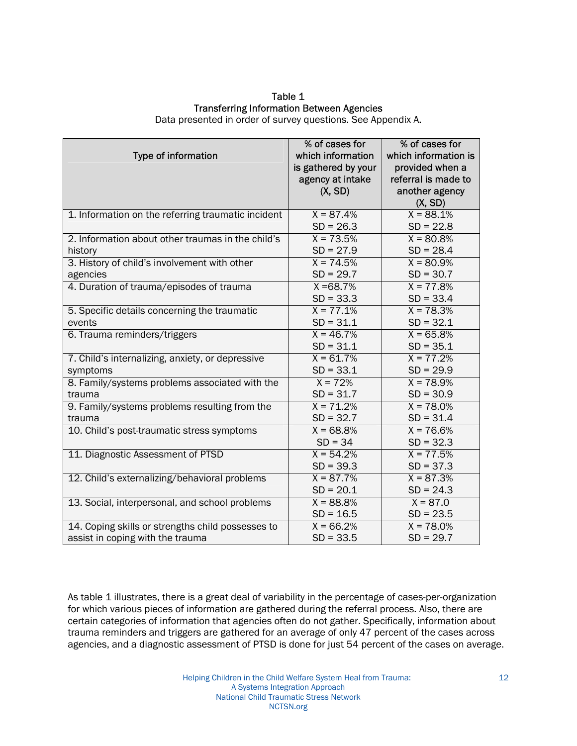#### Table 1 Transferring Information Between Agencies

Data presented in order of survey questions. See Appendix A.

| Type of information                                                                   | % of cases for<br>which information<br>is gathered by your<br>agency at intake | % of cases for<br>which information is<br>provided when a<br>referral is made to |
|---------------------------------------------------------------------------------------|--------------------------------------------------------------------------------|----------------------------------------------------------------------------------|
|                                                                                       | (X, SD)                                                                        | another agency<br>(X, SD)                                                        |
| 1. Information on the referring traumatic incident                                    | $X = 87.4%$<br>$SD = 26.3$                                                     | $X = 88.1%$<br>$SD = 22.8$                                                       |
| 2. Information about other traumas in the child's<br>history                          | $X = 73.5%$<br>$SD = 27.9$                                                     | $X = 80.8%$<br>$SD = 28.4$                                                       |
| 3. History of child's involvement with other<br>agencies                              | $X = 74.5%$<br>$SD = 29.7$                                                     | $X = 80.9%$<br>$SD = 30.7$                                                       |
| 4. Duration of trauma/episodes of trauma                                              | $X = 68.7%$<br>$SD = 33.3$                                                     | $X = 77.8%$<br>$SD = 33.4$                                                       |
| 5. Specific details concerning the traumatic<br>events                                | $X = 77.1%$<br>$SD = 31.1$                                                     | $X = 78.3%$<br>$SD = 32.1$                                                       |
| 6. Trauma reminders/triggers                                                          | $X = 46.7%$<br>$SD = 31.1$                                                     | $X = 65.8%$<br>$SD = 35.1$                                                       |
| 7. Child's internalizing, anxiety, or depressive<br>symptoms                          | $X = 61.7%$<br>$SD = 33.1$                                                     | $X = 77.2%$<br>$SD = 29.9$                                                       |
| 8. Family/systems problems associated with the<br>trauma                              | $X = 72%$<br>$SD = 31.7$                                                       | $X = 78.9%$<br>$SD = 30.9$                                                       |
| 9. Family/systems problems resulting from the<br>trauma                               | $X = 71.2%$<br>$SD = 32.7$                                                     | $X = 78.0%$<br>$SD = 31.4$                                                       |
| 10. Child's post-traumatic stress symptoms                                            | $X = 68.8%$<br>$SD = 34$                                                       | $X = 76.6%$<br>$SD = 32.3$                                                       |
| 11. Diagnostic Assessment of PTSD                                                     | $X = 54.2%$<br>$SD = 39.3$                                                     | $X = 77.5%$<br>$SD = 37.3$                                                       |
| 12. Child's externalizing/behavioral problems                                         | $X = 87.7%$<br>$SD = 20.1$                                                     | $X = 87.3%$<br>$SD = 24.3$                                                       |
| 13. Social, interpersonal, and school problems                                        | $X = 88.8%$<br>$SD = 16.5$                                                     | $X = 87.0$<br>$SD = 23.5$                                                        |
| 14. Coping skills or strengths child possesses to<br>assist in coping with the trauma | $X = 66.2%$<br>$SD = 33.5$                                                     | $X = 78.0%$<br>$SD = 29.7$                                                       |

As table 1 illustrates, there is a great deal of variability in the percentage of cases-per-organization for which various pieces of information are gathered during the referral process. Also, there are certain categories of information that agencies often do not gather. Specifically, information about trauma reminders and triggers are gathered for an average of only 47 percent of the cases across agencies, and a diagnostic assessment of PTSD is done for just 54 percent of the cases on average.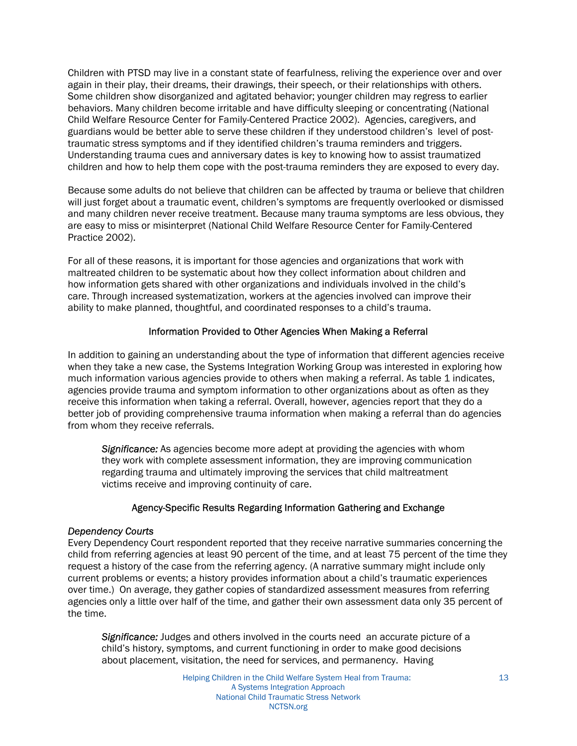Children with PTSD may live in a constant state of fearfulness, reliving the experience over and over again in their play, their dreams, their drawings, their speech, or their relationships with others. Some children show disorganized and agitated behavior; younger children may regress to earlier behaviors. Many children become irritable and have difficulty sleeping or concentrating (National Child Welfare Resource Center for Family-Centered Practice 2002). Agencies, caregivers, and guardians would be better able to serve these children if they understood children's level of posttraumatic stress symptoms and if they identified children's trauma reminders and triggers. Understanding trauma cues and anniversary dates is key to knowing how to assist traumatized children and how to help them cope with the post-trauma reminders they are exposed to every day.

Because some adults do not believe that children can be affected by trauma or believe that children will just forget about a traumatic event, children's symptoms are frequently overlooked or dismissed and many children never receive treatment. Because many trauma symptoms are less obvious, they are easy to miss or misinterpret (National Child Welfare Resource Center for Family-Centered Practice 2002).

For all of these reasons, it is important for those agencies and organizations that work with maltreated children to be systematic about how they collect information about children and how information gets shared with other organizations and individuals involved in the child's care. Through increased systematization, workers at the agencies involved can improve their ability to make planned, thoughtful, and coordinated responses to a child's trauma.

#### Information Provided to Other Agencies When Making a Referral

In addition to gaining an understanding about the type of information that different agencies receive when they take a new case, the Systems Integration Working Group was interested in exploring how much information various agencies provide to others when making a referral. As table 1 indicates, agencies provide trauma and symptom information to other organizations about as often as they receive this information when taking a referral. Overall, however, agencies report that they do a better job of providing comprehensive trauma information when making a referral than do agencies from whom they receive referrals.

*Significance:* As agencies become more adept at providing the agencies with whom they work with complete assessment information, they are improving communication regarding trauma and ultimately improving the services that child maltreatment victims receive and improving continuity of care.

#### Agency-Specific Results Regarding Information Gathering and Exchange

#### *Dependency Courts*

Every Dependency Court respondent reported that they receive narrative summaries concerning the child from referring agencies at least 90 percent of the time, and at least 75 percent of the time they request a history of the case from the referring agency. (A narrative summary might include only current problems or events; a history provides information about a child's traumatic experiences over time.) On average, they gather copies of standardized assessment measures from referring agencies only a little over half of the time, and gather their own assessment data only 35 percent of the time.

*Significance:* Judges and others involved in the courts need an accurate picture of a child's history, symptoms, and current functioning in order to make good decisions about placement, visitation, the need for services, and permanency. Having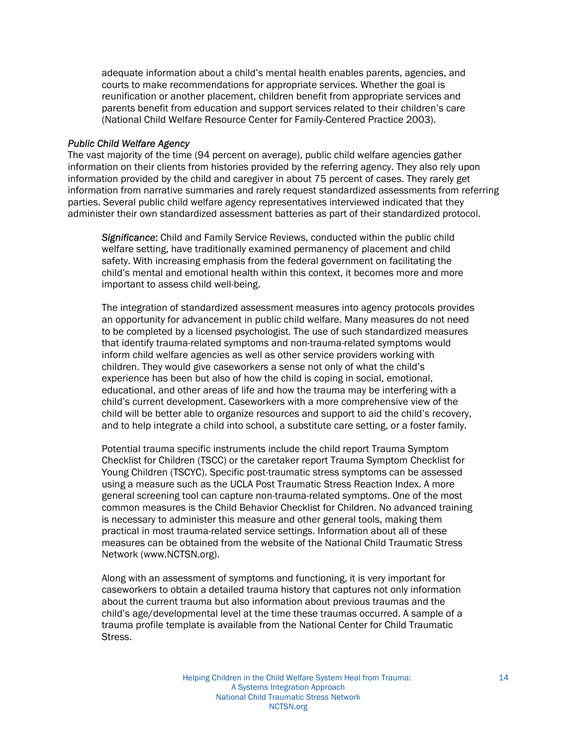adequate information about a child's mental health enables parents, agencies, and courts to make recommendations for appropriate services. Whether the goal is reunification or another placement, children benefit from appropriate services and parents benefit from education and support services related to their children's care (National Child Welfare Resource Center for Family-Centered Practice 2003).

#### *Public Child Welfare Agency*

The vast majority of the time (94 percent on average), public child welfare agencies gather information on their clients from histories provided by the referring agency. They also rely upon information provided by the child and caregiver in about 75 percent of cases. They rarely get information from narrative summaries and rarely request standardized assessments from referring parties. Several public child welfare agency representatives interviewed indicated that they administer their own standardized assessment batteries as part of their standardized protocol.

*Significance*: Child and Family Service Reviews, conducted within the public child welfare setting, have traditionally examined permanency of placement and child safety. With increasing emphasis from the federal government on facilitating the child's mental and emotional health within this context, it becomes more and more important to assess child well-being.

The integration of standardized assessment measures into agency protocols provides an opportunity for advancement in public child welfare. Many measures do not need to be completed by a licensed psychologist. The use of such standardized measures that identify trauma-related symptoms and non-trauma-related symptoms would inform child welfare agencies as well as other service providers working with children. They would give caseworkers a sense not only of what the child's experience has been but also of how the child is coping in social, emotional, educational, and other areas of life and how the trauma may be interfering with a child's current development. Caseworkers with a more comprehensive view of the child will be better able to organize resources and support to aid the child's recovery, and to help integrate a child into school, a substitute care setting, or a foster family.

Potential trauma specific instruments include the child report Trauma Symptom Checklist for Children (TSCC) or the caretaker report Trauma Symptom Checklist for Young Children (TSCYC). Specific post-traumatic stress symptoms can be assessed using a measure such as the UCLA Post Traumatic Stress Reaction Index. A more general screening tool can capture non-trauma-related symptoms. One of the most common measures is the Child Behavior Checklist for Children. No advanced training is necessary to administer this measure and other general tools, making them practical in most trauma-related service settings. Information about all of these measures can be obtained from the website of the National Child Traumatic Stress Network (www.NCTSN.org).

Along with an assessment of symptoms and functioning, it is very important for caseworkers to obtain a detailed trauma history that captures not only information about the current trauma but also information about previous traumas and the child's age/developmental level at the time these traumas occurred. A sample of a trauma profile template is available from the National Center for Child Traumatic Stress.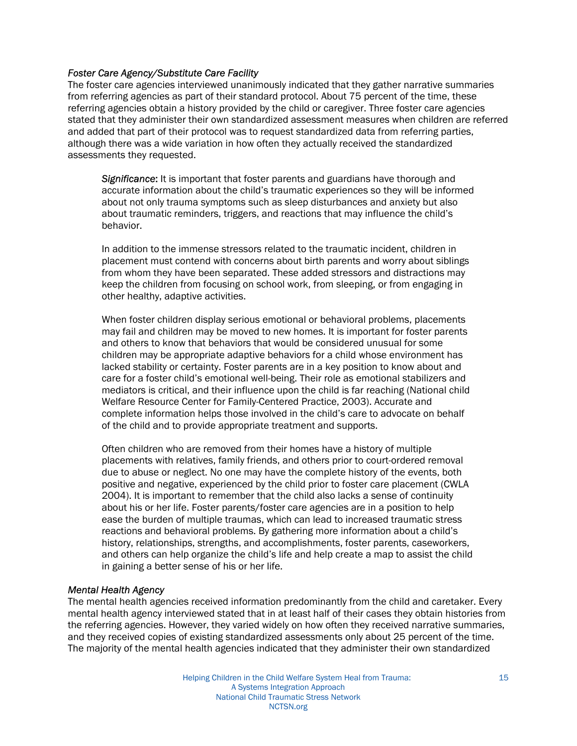#### *Foster Care Agency/Substitute Care Facility*

The foster care agencies interviewed unanimously indicated that they gather narrative summaries from referring agencies as part of their standard protocol. About 75 percent of the time, these referring agencies obtain a history provided by the child or caregiver. Three foster care agencies stated that they administer their own standardized assessment measures when children are referred and added that part of their protocol was to request standardized data from referring parties, although there was a wide variation in how often they actually received the standardized assessments they requested.

*Significance*: It is important that foster parents and guardians have thorough and accurate information about the child's traumatic experiences so they will be informed about not only trauma symptoms such as sleep disturbances and anxiety but also about traumatic reminders, triggers, and reactions that may influence the child's behavior.

In addition to the immense stressors related to the traumatic incident, children in placement must contend with concerns about birth parents and worry about siblings from whom they have been separated. These added stressors and distractions may keep the children from focusing on school work, from sleeping, or from engaging in other healthy, adaptive activities.

When foster children display serious emotional or behavioral problems, placements may fail and children may be moved to new homes. It is important for foster parents and others to know that behaviors that would be considered unusual for some children may be appropriate adaptive behaviors for a child whose environment has lacked stability or certainty. Foster parents are in a key position to know about and care for a foster child's emotional well-being. Their role as emotional stabilizers and mediators is critical, and their influence upon the child is far reaching (National child Welfare Resource Center for Family-Centered Practice, 2003). Accurate and complete information helps those involved in the child's care to advocate on behalf of the child and to provide appropriate treatment and supports.

Often children who are removed from their homes have a history of multiple placements with relatives, family friends, and others prior to court-ordered removal due to abuse or neglect. No one may have the complete history of the events, both positive and negative, experienced by the child prior to foster care placement (CWLA 2004). It is important to remember that the child also lacks a sense of continuity about his or her life. Foster parents/foster care agencies are in a position to help ease the burden of multiple traumas, which can lead to increased traumatic stress reactions and behavioral problems. By gathering more information about a child's history, relationships, strengths, and accomplishments, foster parents, caseworkers, and others can help organize the child's life and help create a map to assist the child in gaining a better sense of his or her life.

#### *Mental Health Agency*

The mental health agencies received information predominantly from the child and caretaker. Every mental health agency interviewed stated that in at least half of their cases they obtain histories from the referring agencies. However, they varied widely on how often they received narrative summaries, and they received copies of existing standardized assessments only about 25 percent of the time. The majority of the mental health agencies indicated that they administer their own standardized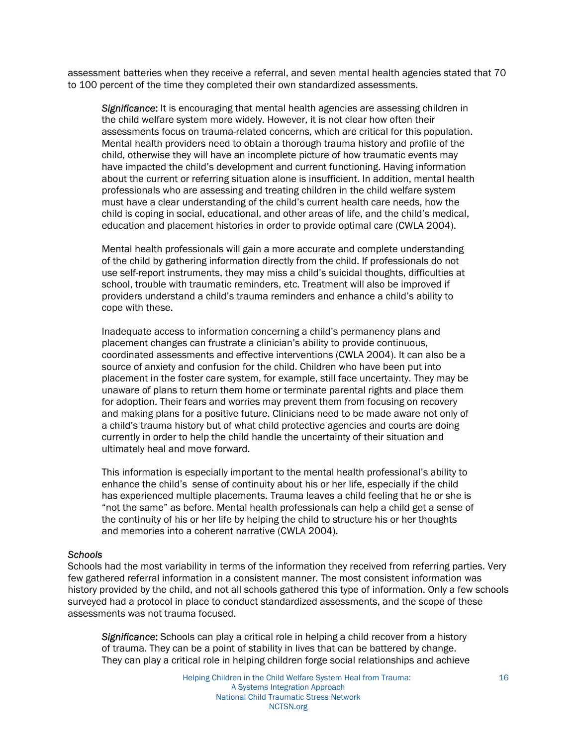assessment batteries when they receive a referral, and seven mental health agencies stated that 70 to 100 percent of the time they completed their own standardized assessments.

*Significance*: It is encouraging that mental health agencies are assessing children in the child welfare system more widely. However, it is not clear how often their assessments focus on trauma-related concerns, which are critical for this population. Mental health providers need to obtain a thorough trauma history and profile of the child, otherwise they will have an incomplete picture of how traumatic events may have impacted the child's development and current functioning. Having information about the current or referring situation alone is insufficient. In addition, mental health professionals who are assessing and treating children in the child welfare system must have a clear understanding of the child's current health care needs, how the child is coping in social, educational, and other areas of life, and the child's medical, education and placement histories in order to provide optimal care (CWLA 2004).

Mental health professionals will gain a more accurate and complete understanding of the child by gathering information directly from the child. If professionals do not use self-report instruments, they may miss a child's suicidal thoughts, difficulties at school, trouble with traumatic reminders, etc. Treatment will also be improved if providers understand a child's trauma reminders and enhance a child's ability to cope with these.

Inadequate access to information concerning a child's permanency plans and placement changes can frustrate a clinician's ability to provide continuous, coordinated assessments and effective interventions (CWLA 2004). It can also be a source of anxiety and confusion for the child. Children who have been put into placement in the foster care system, for example, still face uncertainty. They may be unaware of plans to return them home or terminate parental rights and place them for adoption. Their fears and worries may prevent them from focusing on recovery and making plans for a positive future. Clinicians need to be made aware not only of a child's trauma history but of what child protective agencies and courts are doing currently in order to help the child handle the uncertainty of their situation and ultimately heal and move forward.

This information is especially important to the mental health professional's ability to enhance the child's sense of continuity about his or her life, especially if the child has experienced multiple placements. Trauma leaves a child feeling that he or she is "not the same" as before. Mental health professionals can help a child get a sense of the continuity of his or her life by helping the child to structure his or her thoughts and memories into a coherent narrative (CWLA 2004).

#### *Schools*

Schools had the most variability in terms of the information they received from referring parties. Very few gathered referral information in a consistent manner. The most consistent information was history provided by the child, and not all schools gathered this type of information. Only a few schools surveyed had a protocol in place to conduct standardized assessments, and the scope of these assessments was not trauma focused.

*Significance*: Schools can play a critical role in helping a child recover from a history of trauma. They can be a point of stability in lives that can be battered by change. They can play a critical role in helping children forge social relationships and achieve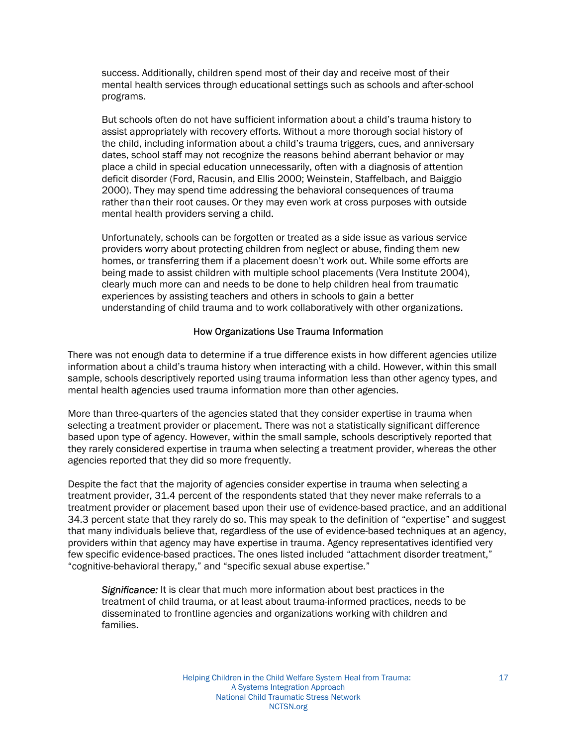success. Additionally, children spend most of their day and receive most of their mental health services through educational settings such as schools and after-school programs.

But schools often do not have sufficient information about a child's trauma history to assist appropriately with recovery efforts. Without a more thorough social history of the child, including information about a child's trauma triggers, cues, and anniversary dates, school staff may not recognize the reasons behind aberrant behavior or may place a child in special education unnecessarily, often with a diagnosis of attention deficit disorder (Ford, Racusin, and Ellis 2000; Weinstein, Staffelbach, and Baiggio 2000). They may spend time addressing the behavioral consequences of trauma rather than their root causes. Or they may even work at cross purposes with outside mental health providers serving a child.

Unfortunately, schools can be forgotten or treated as a side issue as various service providers worry about protecting children from neglect or abuse, finding them new homes, or transferring them if a placement doesn't work out. While some efforts are being made to assist children with multiple school placements (Vera Institute 2004), clearly much more can and needs to be done to help children heal from traumatic experiences by assisting teachers and others in schools to gain a better understanding of child trauma and to work collaboratively with other organizations.

#### How Organizations Use Trauma Information

There was not enough data to determine if a true difference exists in how different agencies utilize information about a child's trauma history when interacting with a child. However, within this small sample, schools descriptively reported using trauma information less than other agency types, and mental health agencies used trauma information more than other agencies.

More than three-quarters of the agencies stated that they consider expertise in trauma when selecting a treatment provider or placement. There was not a statistically significant difference based upon type of agency. However, within the small sample, schools descriptively reported that they rarely considered expertise in trauma when selecting a treatment provider, whereas the other agencies reported that they did so more frequently.

Despite the fact that the majority of agencies consider expertise in trauma when selecting a treatment provider, 31.4 percent of the respondents stated that they never make referrals to a treatment provider or placement based upon their use of evidence-based practice, and an additional 34.3 percent state that they rarely do so. This may speak to the definition of "expertise" and suggest that many individuals believe that, regardless of the use of evidence-based techniques at an agency, providers within that agency may have expertise in trauma. Agency representatives identified very few specific evidence-based practices. The ones listed included "attachment disorder treatment," "cognitive-behavioral therapy," and "specific sexual abuse expertise."

*Significance:* It is clear that much more information about best practices in the treatment of child trauma, or at least about trauma-informed practices, needs to be disseminated to frontline agencies and organizations working with children and families.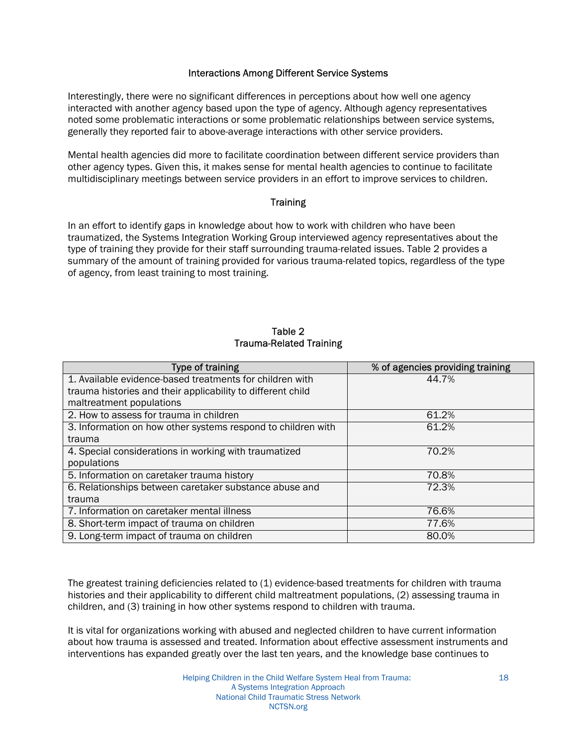#### Interactions Among Different Service Systems

Interestingly, there were no significant differences in perceptions about how well one agency interacted with another agency based upon the type of agency. Although agency representatives noted some problematic interactions or some problematic relationships between service systems, generally they reported fair to above-average interactions with other service providers.

Mental health agencies did more to facilitate coordination between different service providers than other agency types. Given this, it makes sense for mental health agencies to continue to facilitate multidisciplinary meetings between service providers in an effort to improve services to children.

#### **Training**

In an effort to identify gaps in knowledge about how to work with children who have been traumatized, the Systems Integration Working Group interviewed agency representatives about the type of training they provide for their staff surrounding trauma-related issues. Table 2 provides a summary of the amount of training provided for various trauma-related topics, regardless of the type of agency, from least training to most training.

#### Table 2 Trauma-Related Training

| Type of training                                             | % of agencies providing training |
|--------------------------------------------------------------|----------------------------------|
| 1. Available evidence-based treatments for children with     | 44.7%                            |
| trauma histories and their applicability to different child  |                                  |
| maltreatment populations                                     |                                  |
| 2. How to assess for trauma in children                      | 61.2%                            |
| 3. Information on how other systems respond to children with | 61.2%                            |
| trauma                                                       |                                  |
| 4. Special considerations in working with traumatized        | 70.2%                            |
| populations                                                  |                                  |
| 5. Information on caretaker trauma history                   | 70.8%                            |
| 6. Relationships between caretaker substance abuse and       | 72.3%                            |
| trauma                                                       |                                  |
| 7. Information on caretaker mental illness                   | 76.6%                            |
| 8. Short-term impact of trauma on children                   | 77.6%                            |
| 9. Long-term impact of trauma on children                    | 80.0%                            |

The greatest training deficiencies related to (1) evidence-based treatments for children with trauma histories and their applicability to different child maltreatment populations, (2) assessing trauma in children, and (3) training in how other systems respond to children with trauma.

It is vital for organizations working with abused and neglected children to have current information about how trauma is assessed and treated. Information about effective assessment instruments and interventions has expanded greatly over the last ten years, and the knowledge base continues to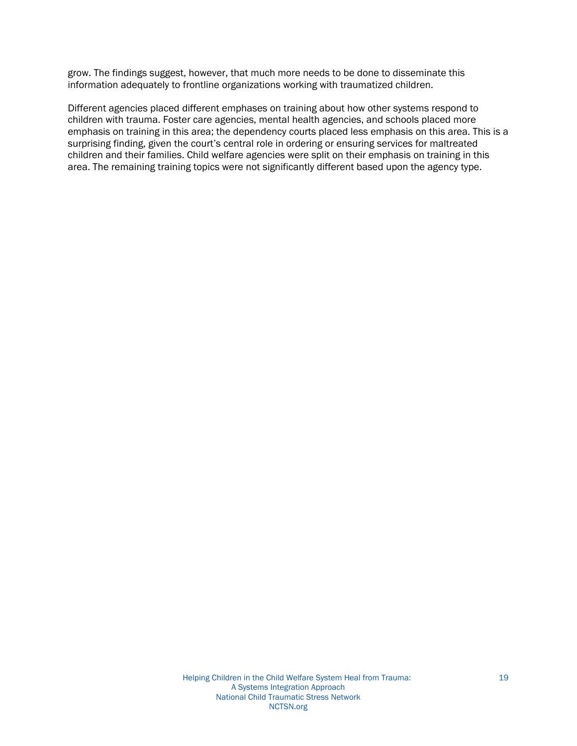grow. The findings suggest, however, that much more needs to be done to disseminate this information adequately to frontline organizations working with traumatized children.

Different agencies placed different emphases on training about how other systems respond to children with trauma. Foster care agencies, mental health agencies, and schools placed more emphasis on training in this area; the dependency courts placed less emphasis on this area. This is a surprising finding, given the court's central role in ordering or ensuring services for maltreated children and their families. Child welfare agencies were split on their emphasis on training in this area. The remaining training topics were not significantly different based upon the agency type.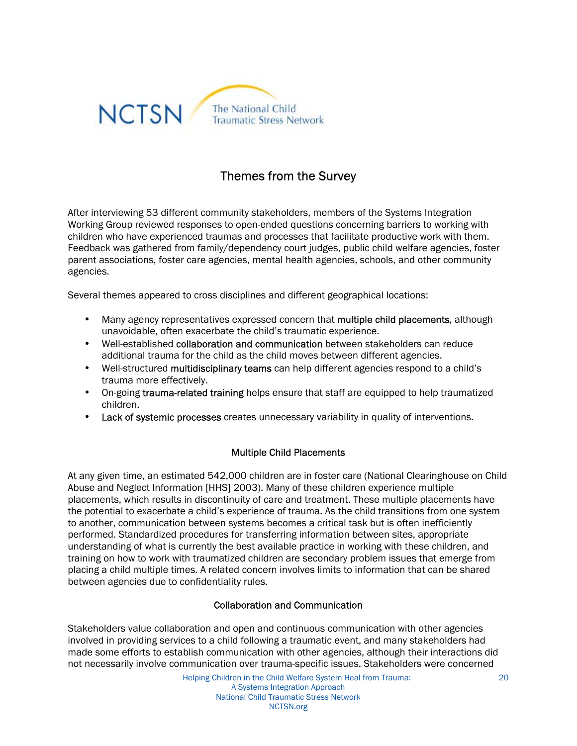

## Themes from the Survey

After interviewing 53 different community stakeholders, members of the Systems Integration Working Group reviewed responses to open-ended questions concerning barriers to working with children who have experienced traumas and processes that facilitate productive work with them. Feedback was gathered from family/dependency court judges, public child welfare agencies, foster parent associations, foster care agencies, mental health agencies, schools, and other community agencies.

Several themes appeared to cross disciplines and different geographical locations:

- Many agency representatives expressed concern that multiple child placements, although unavoidable, often exacerbate the child's traumatic experience.
- Well-established collaboration and communication between stakeholders can reduce additional trauma for the child as the child moves between different agencies.
- Well-structured multidisciplinary teams can help different agencies respond to a child's trauma more effectively.
- On-going trauma-related training helps ensure that staff are equipped to help traumatized children.
- Lack of systemic processes creates unnecessary variability in quality of interventions.

#### Multiple Child Placements

At any given time, an estimated 542,000 children are in foster care (National Clearinghouse on Child Abuse and Neglect Information [HHS] 2003). Many of these children experience multiple placements, which results in discontinuity of care and treatment. These multiple placements have the potential to exacerbate a child's experience of trauma. As the child transitions from one system to another, communication between systems becomes a critical task but is often inefficiently performed. Standardized procedures for transferring information between sites, appropriate understanding of what is currently the best available practice in working with these children, and training on how to work with traumatized children are secondary problem issues that emerge from placing a child multiple times. A related concern involves limits to information that can be shared between agencies due to confidentiality rules.

#### Collaboration and Communication

Stakeholders value collaboration and open and continuous communication with other agencies involved in providing services to a child following a traumatic event, and many stakeholders had made some efforts to establish communication with other agencies, although their interactions did not necessarily involve communication over trauma-specific issues. Stakeholders were concerned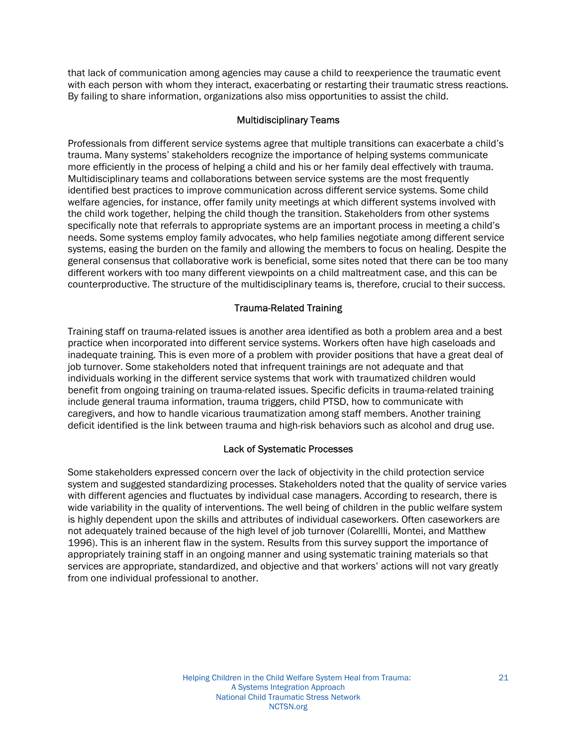that lack of communication among agencies may cause a child to reexperience the traumatic event with each person with whom they interact, exacerbating or restarting their traumatic stress reactions. By failing to share information, organizations also miss opportunities to assist the child.

#### Multidisciplinary Teams

Professionals from different service systems agree that multiple transitions can exacerbate a child's trauma. Many systems' stakeholders recognize the importance of helping systems communicate more efficiently in the process of helping a child and his or her family deal effectively with trauma. Multidisciplinary teams and collaborations between service systems are the most frequently identified best practices to improve communication across different service systems. Some child welfare agencies, for instance, offer family unity meetings at which different systems involved with the child work together, helping the child though the transition. Stakeholders from other systems specifically note that referrals to appropriate systems are an important process in meeting a child's needs. Some systems employ family advocates, who help families negotiate among different service systems, easing the burden on the family and allowing the members to focus on healing. Despite the general consensus that collaborative work is beneficial, some sites noted that there can be too many different workers with too many different viewpoints on a child maltreatment case, and this can be counterproductive. The structure of the multidisciplinary teams is, therefore, crucial to their success.

#### Trauma-Related Training

Training staff on trauma-related issues is another area identified as both a problem area and a best practice when incorporated into different service systems. Workers often have high caseloads and inadequate training. This is even more of a problem with provider positions that have a great deal of job turnover. Some stakeholders noted that infrequent trainings are not adequate and that individuals working in the different service systems that work with traumatized children would benefit from ongoing training on trauma-related issues. Specific deficits in trauma-related training include general trauma information, trauma triggers, child PTSD, how to communicate with caregivers, and how to handle vicarious traumatization among staff members. Another training deficit identified is the link between trauma and high-risk behaviors such as alcohol and drug use.

#### Lack of Systematic Processes

Some stakeholders expressed concern over the lack of objectivity in the child protection service system and suggested standardizing processes. Stakeholders noted that the quality of service varies with different agencies and fluctuates by individual case managers. According to research, there is wide variability in the quality of interventions. The well being of children in the public welfare system is highly dependent upon the skills and attributes of individual caseworkers. Often caseworkers are not adequately trained because of the high level of job turnover (Colarellli, Montei, and Matthew 1996). This is an inherent flaw in the system. Results from this survey support the importance of appropriately training staff in an ongoing manner and using systematic training materials so that services are appropriate, standardized, and objective and that workers' actions will not vary greatly from one individual professional to another.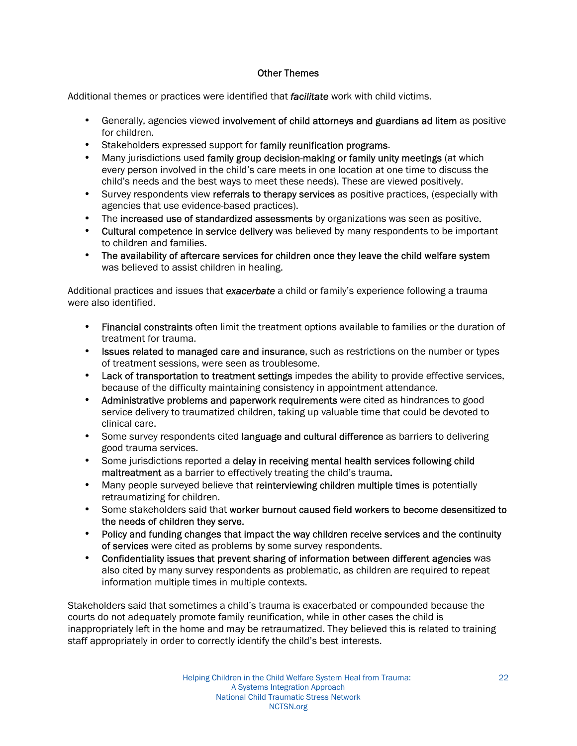#### Other Themes

Additional themes or practices were identified that *facilitate* work with child victims.

- Generally, agencies viewed involvement of child attorneys and guardians ad litem as positive for children.
- Stakeholders expressed support for family reunification programs.
- Many jurisdictions used family group decision-making or family unity meetings (at which every person involved in the child's care meets in one location at one time to discuss the child's needs and the best ways to meet these needs). These are viewed positively.
- Survey respondents view referrals to therapy services as positive practices, (especially with agencies that use evidence-based practices).
- The increased use of standardized assessments by organizations was seen as positive.
- Cultural competence in service delivery was believed by many respondents to be important to children and families.
- The availability of aftercare services for children once they leave the child welfare system was believed to assist children in healing.

Additional practices and issues that *exacerbate* a child or family's experience following a trauma were also identified.

- Financial constraints often limit the treatment options available to families or the duration of treatment for trauma.
- Issues related to managed care and insurance, such as restrictions on the number or types of treatment sessions, were seen as troublesome.
- Lack of transportation to treatment settings impedes the ability to provide effective services, because of the difficulty maintaining consistency in appointment attendance.
- Administrative problems and paperwork requirements were cited as hindrances to good service delivery to traumatized children, taking up valuable time that could be devoted to clinical care.
- Some survey respondents cited language and cultural difference as barriers to delivering good trauma services.
- Some jurisdictions reported a delay in receiving mental health services following child maltreatment as a barrier to effectively treating the child's trauma.
- Many people surveyed believe that reinterviewing children multiple times is potentially retraumatizing for children.
- Some stakeholders said that worker burnout caused field workers to become desensitized to the needs of children they serve.
- Policy and funding changes that impact the way children receive services and the continuity of services were cited as problems by some survey respondents.
- Confidentiality issues that prevent sharing of information between different agencies was also cited by many survey respondents as problematic, as children are required to repeat information multiple times in multiple contexts.

Stakeholders said that sometimes a child's trauma is exacerbated or compounded because the courts do not adequately promote family reunification, while in other cases the child is inappropriately left in the home and may be retraumatized. They believed this is related to training staff appropriately in order to correctly identify the child's best interests.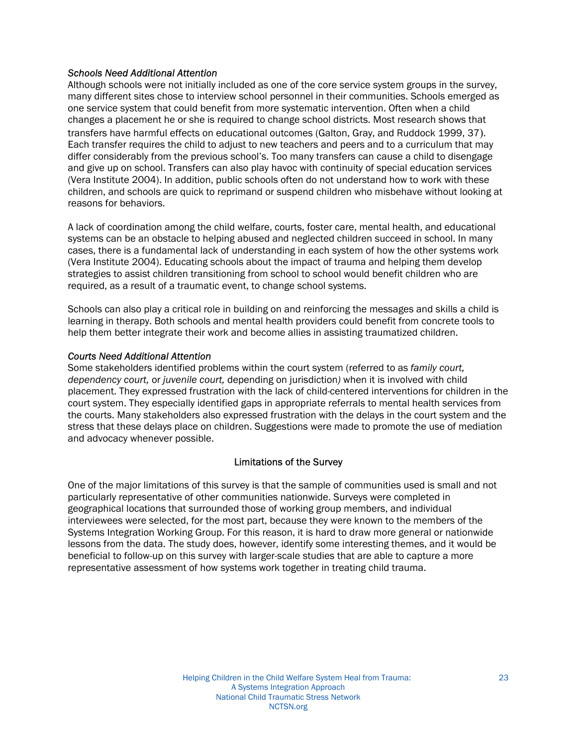#### *Schools Need Additional Attention*

Although schools were not initially included as one of the core service system groups in the survey, many different sites chose to interview school personnel in their communities. Schools emerged as one service system that could benefit from more systematic intervention. Often when a child changes a placement he or she is required to change school districts. Most research shows that transfers have harmful effects on educational outcomes (Galton, Gray, and Ruddock 1999, 37). Each transfer requires the child to adjust to new teachers and peers and to a curriculum that may differ considerably from the previous school's. Too many transfers can cause a child to disengage and give up on school. Transfers can also play havoc with continuity of special education services (Vera Institute 2004). In addition, public schools often do not understand how to work with these children, and schools are quick to reprimand or suspend children who misbehave without looking at reasons for behaviors.

A lack of coordination among the child welfare, courts, foster care, mental health, and educational systems can be an obstacle to helping abused and neglected children succeed in school. In many cases, there is a fundamental lack of understanding in each system of how the other systems work (Vera Institute 2004). Educating schools about the impact of trauma and helping them develop strategies to assist children transitioning from school to school would benefit children who are required, as a result of a traumatic event, to change school systems.

Schools can also play a critical role in building on and reinforcing the messages and skills a child is learning in therapy. Both schools and mental health providers could benefit from concrete tools to help them better integrate their work and become allies in assisting traumatized children.

#### *Courts Need Additional Attention*

Some stakeholders identified problems within the court system (referred to as *family court, dependency court,* or *juvenile court,* depending on jurisdiction*)* when it is involved with child placement. Theyexpressed frustration with the lack of child-centered interventions for children in the court system. They especially identified gaps in appropriate referrals to mental health services from the courts. Many stakeholders also expressed frustration with the delays in the court system and the stress that these delays place on children. Suggestions were made to promote the use of mediation and advocacy whenever possible.

#### Limitations of the Survey

One of the major limitations of this survey is that the sample of communities used is small and not particularly representative of other communities nationwide. Surveys were completed in geographical locations that surrounded those of working group members, and individual interviewees were selected, for the most part, because they were known to the members of the Systems Integration Working Group. For this reason, it is hard to draw more general or nationwide lessons from the data. The study does, however, identify some interesting themes, and it would be beneficial to follow-up on this survey with larger-scale studies that are able to capture a more representative assessment of how systems work together in treating child trauma.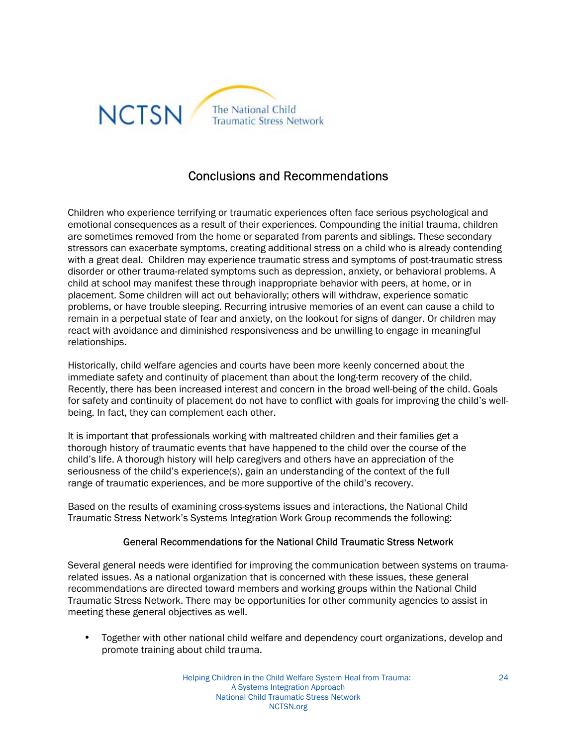

## Conclusions and Recommendations

Children who experience terrifying or traumatic experiences often face serious psychological and emotional consequences as a result of their experiences. Compounding the initial trauma, children are sometimes removed from the home or separated from parents and siblings. These secondary stressors can exacerbate symptoms, creating additional stress on a child who is already contending with a great deal. Children may experience traumatic stress and symptoms of post-traumatic stress disorder or other trauma-related symptoms such as depression, anxiety, or behavioral problems. A child at school may manifest these through inappropriate behavior with peers, at home, or in placement. Some children will act out behaviorally; others will withdraw, experience somatic problems, or have trouble sleeping. Recurring intrusive memories of an event can cause a child to remain in a perpetual state of fear and anxiety, on the lookout for signs of danger. Or children may react with avoidance and diminished responsiveness and be unwilling to engage in meaningful relationships.

Historically, child welfare agencies and courts have been more keenly concerned about the immediate safety and continuity of placement than about the long-term recovery of the child. Recently, there has been increased interest and concern in the broad well-being of the child. Goals for safety and continuity of placement do not have to conflict with goals for improving the child's wellbeing. In fact, they can complement each other.

It is important that professionals working with maltreated children and their families get a thorough history of traumatic events that have happened to the child over the course of the child's life. A thorough history will help caregivers and others have an appreciation of the seriousness of the child's experience(s), gain an understanding of the context of the full range of traumatic experiences, and be more supportive of the child's recovery.

Based on the results of examining cross-systems issues and interactions, the National Child Traumatic Stress Network's Systems Integration Work Group recommends the following:

#### General Recommendations for the National Child Traumatic Stress Network

Several general needs were identified for improving the communication between systems on traumarelated issues. As a national organization that is concerned with these issues, these general recommendations are directed toward members and working groups within the National Child Traumatic Stress Network. There may be opportunities for other community agencies to assist in meeting these general objectives as well.

• Together with other national child welfare and dependency court organizations, develop and promote training about child trauma.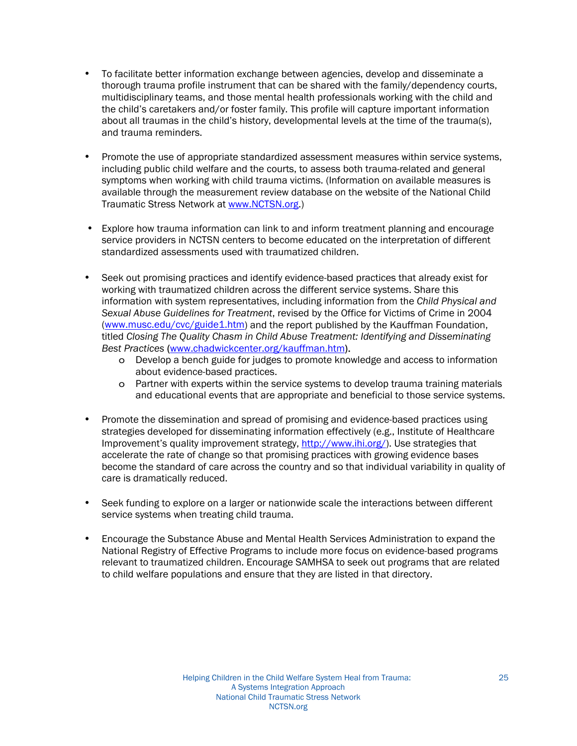- To facilitate better information exchange between agencies, develop and disseminate a thorough trauma profile instrument that can be shared with the family/dependency courts, multidisciplinary teams, and those mental health professionals working with the child and the child's caretakers and/or foster family. This profile will capture important information about all traumas in the child's history, developmental levels at the time of the trauma(s), and trauma reminders.
- Promote the use of appropriate standardized assessment measures within service systems, including public child welfare and the courts, to assess both trauma-related and general symptoms when working with child trauma victims. (Information on available measures is available through the measurement review database on the website of the National Child Traumatic Stress Network at www.NCTSN.org.)
- Explore how trauma information can link to and inform treatment planning and encourage service providers in NCTSN centers to become educated on the interpretation of different standardized assessments used with traumatized children.
- Seek out promising practices and identify evidence-based practices that already exist for working with traumatized children across the different service systems. Share this information with system representatives, including information from the *Child Physical and Sexual Abuse Guidelines for Treatment*, revised by the Office for Victims of Crime in 2004 (www.musc.edu/cvc/guide1.htm) and the report published by the Kauffman Foundation, titled *Closing The Quality Chasm in Child Abuse Treatment: Identifying and Disseminating Best Practices* (www.chadwickcenter.org/kauffman.htm).
	- o Develop a bench guide for judges to promote knowledge and access to information about evidence-based practices.
	- o Partner with experts within the service systems to develop trauma training materials and educational events that are appropriate and beneficial to those service systems.
- Promote the dissemination and spread of promising and evidence-based practices using strategies developed for disseminating information effectively (e.g., Institute of Healthcare Improvement's quality improvement strategy, http://www.ihi.org/). Use strategies that accelerate the rate of change so that promising practices with growing evidence bases become the standard of care across the country and so that individual variability in quality of care is dramatically reduced.
- Seek funding to explore on a larger or nationwide scale the interactions between different service systems when treating child trauma.
- Encourage the Substance Abuse and Mental Health Services Administration to expand the National Registry of Effective Programs to include more focus on evidence-based programs relevant to traumatized children. Encourage SAMHSA to seek out programs that are related to child welfare populations and ensure that they are listed in that directory.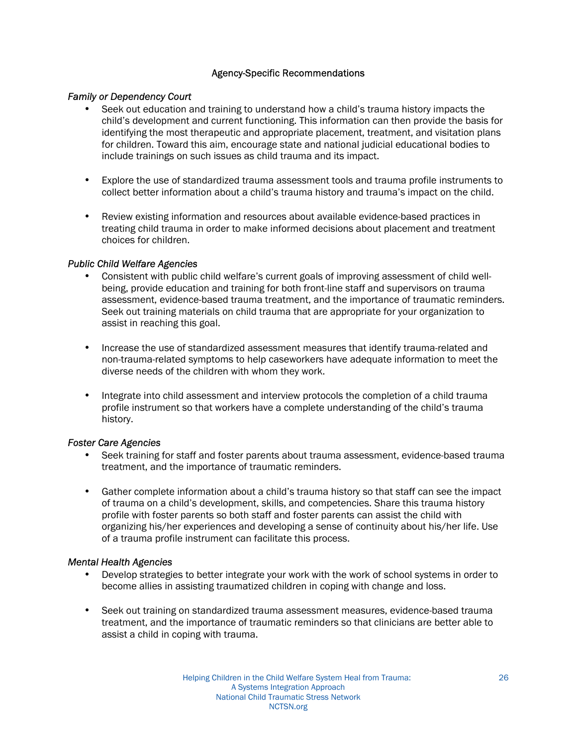#### Agency-Specific Recommendations

#### *Family or Dependency Court*

- Seek out education and training to understand how a child's trauma history impacts the child's development and current functioning. This information can then provide the basis for identifying the most therapeutic and appropriate placement, treatment, and visitation plans for children. Toward this aim, encourage state and national judicial educational bodies to include trainings on such issues as child trauma and its impact.
- Explore the use of standardized trauma assessment tools and trauma profile instruments to collect better information about a child's trauma history and trauma's impact on the child.
- Review existing information and resources about available evidence-based practices in treating child trauma in order to make informed decisions about placement and treatment choices for children.

#### *Public Child Welfare Agencies*

- Consistent with public child welfare's current goals of improving assessment of child wellbeing, provide education and training for both front-line staff and supervisors on trauma assessment, evidence-based trauma treatment, and the importance of traumatic reminders. Seek out training materials on child trauma that are appropriate for your organization to assist in reaching this goal.
- Increase the use of standardized assessment measures that identify trauma-related and non-trauma-related symptoms to help caseworkers have adequate information to meet the diverse needs of the children with whom they work.
- Integrate into child assessment and interview protocols the completion of a child trauma profile instrument so that workers have a complete understanding of the child's trauma history.

#### *Foster Care Agencies*

- Seek training for staff and foster parents about trauma assessment, evidence-based trauma treatment, and the importance of traumatic reminders.
- Gather complete information about a child's trauma history so that staff can see the impact of trauma on a child's development, skills, and competencies. Share this trauma history profile with foster parents so both staff and foster parents can assist the child with organizing his/her experiences and developing a sense of continuity about his/her life. Use of a trauma profile instrument can facilitate this process.

#### *Mental Health Agencies*

- Develop strategies to better integrate your work with the work of school systems in order to become allies in assisting traumatized children in coping with change and loss.
- Seek out training on standardized trauma assessment measures, evidence-based trauma treatment, and the importance of traumatic reminders so that clinicians are better able to assist a child in coping with trauma.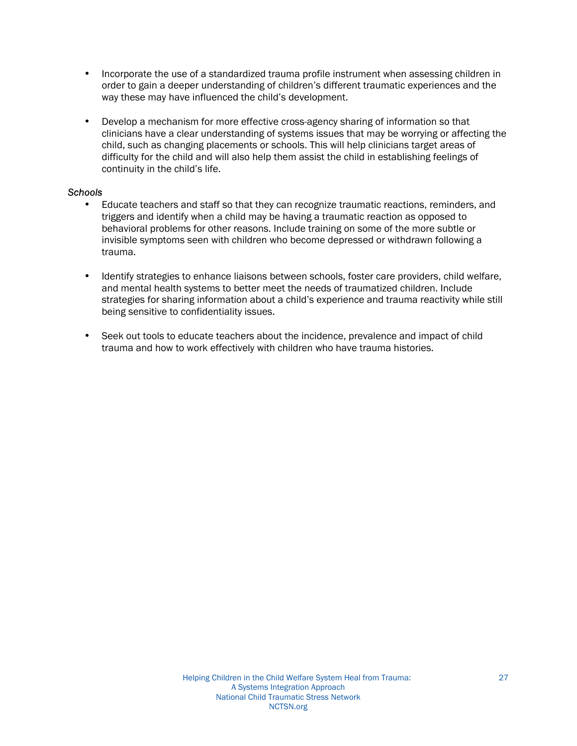- Incorporate the use of a standardized trauma profile instrument when assessing children in order to gain a deeper understanding of children's different traumatic experiences and the way these may have influenced the child's development.
- Develop a mechanism for more effective cross-agency sharing of information so that clinicians have a clear understanding of systems issues that may be worrying or affecting the child, such as changing placements or schools. This will help clinicians target areas of difficulty for the child and will also help them assist the child in establishing feelings of continuity in the child's life.

#### *Schools*

- Educate teachers and staff so that they can recognize traumatic reactions, reminders, and triggers and identify when a child may be having a traumatic reaction as opposed to behavioral problems for other reasons. Include training on some of the more subtle or invisible symptoms seen with children who become depressed or withdrawn following a trauma.
- Identify strategies to enhance liaisons between schools, foster care providers, child welfare, and mental health systems to better meet the needs of traumatized children. Include strategies for sharing information about a child's experience and trauma reactivity while still being sensitive to confidentiality issues.
- Seek out tools to educate teachers about the incidence, prevalence and impact of child trauma and how to work effectively with children who have trauma histories.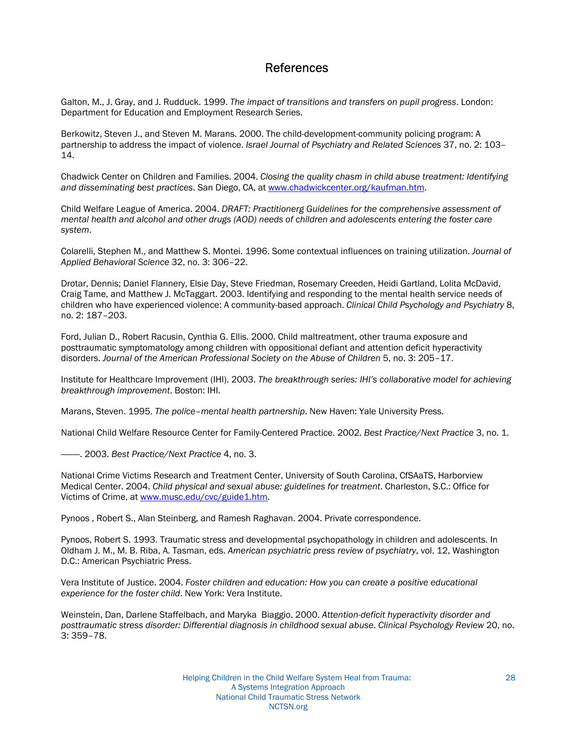### References

Galton, M., J. Gray, and J. Rudduck. 1999. *The impact of transitions and transfers on pupil progress*. London: Department for Education and Employment Research Series.

Berkowitz, Steven J., and Steven M. Marans. 2000. The child-development-community policing program: A partnership to address the impact of violence. *Israel Journal of Psychiatry and Related Sciences* 37, no. 2: 103-14.

Chadwick Center on Children and Families. 2004. *Closing the quality chasm in child abuse treatment: Identifying and disseminating best practices*. San Diego, CA, at www.chadwickcenter.org/kaufman.htm.

Child Welfare League of America. 2004. *DRAFT: Practitionerg Guidelines for the comprehensive assessment of mental health and alcohol and other drugs (AOD) needs of children and adolescents entering the foster care system*.

Colarelli, Stephen M., and Matthew S. Montei. 1996. Some contextual influences on training utilization. *Journal of*  Applied Behavioral Science 32, no. 3: 306-22.

Drotar, Dennis; Daniel Flannery, Elsie Day, Steve Friedman, Rosemary Creeden, Heidi Gartland, Lolita McDavid, Craig Tame, and Matthew J. McTaggart. 2003. Identifying and responding to the mental health service needs of children who have experienced violence: A community-based approach. *Clinical Child Psychology and Psychiatry* 8, no. 2: 187-203.

Ford, Julian D., Robert Racusin, Cynthia G. Ellis. 2000. Child maltreatment, other trauma exposure and posttraumatic symptomatology among children with oppositional defiant and attention deficit hyperactivity disorders. Journal of the American Professional Society on the Abuse of Children 5, no. 3: 205-17.

Institute for Healthcare Improvement (IHI). 2003. The breakthrough series: IHI's collaborative model for achieving *breakthrough improvement*. Boston: IHI.

Marans, Steven. 1995. *The police-mental health partnership*. New Haven: Yale University Press.

National Child Welfare Resource Center for Family-Centered Practice. 2002. *Best Practice/Next Practice* 3, no. 1.

iii. 2003. *Best Practice/Next Practice* 4, no. 3.

National Crime Victims Research and Treatment Center, University of South Carolina, CfSAaTS, Harborview Medical Center. 2004. *Child physical and sexual abuse: guidelines for treatment*. Charleston, S.C.: Office for Victims of Crime, at www.musc.edu/cvc/guide1.htm.

Pynoos , Robert S., Alan Steinberg, and Ramesh Raghavan. 2004. Private correspondence.

Pynoos, Robert S. 1993. Traumatic stress and developmental psychopathology in children and adolescents. In Oldham J. M., M. B. Riba, A. Tasman, eds. *American psychiatric press review of psychiatry*, vol. 12, Washington D.C.: American Psychiatric Press.

Vera Institute of Justice. 2004. *Foster children and education: How you can create a positive educational experience for the foster child*. New York: Vera Institute.

Weinstein, Dan, Darlene Staffelbach, and Maryka Biaggio. 2000. *Attention-deficit hyperactivity disorder and posttraumatic stress disorder: Differential diagnosis in childhood sexual abuse*. *Clinical Psychology Review* 20, no.  $3:359-78.$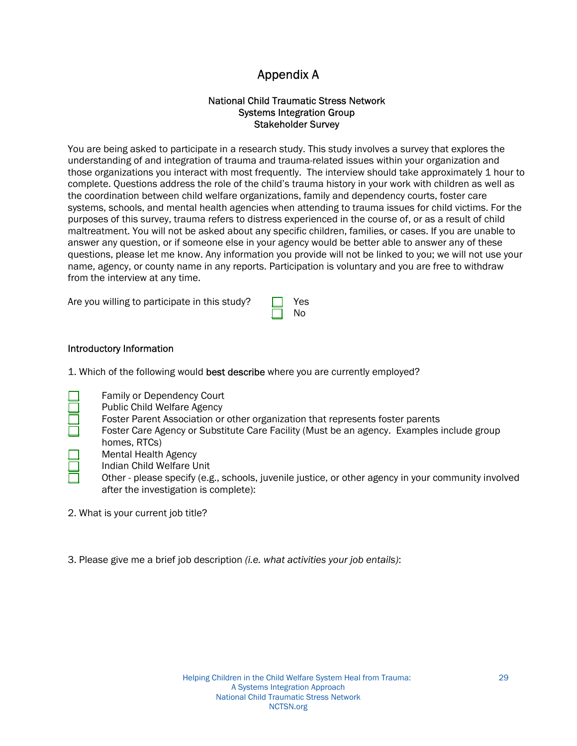## Appendix A

#### National Child Traumatic Stress Network Systems Integration Group Stakeholder Survey

You are being asked to participate in a research study. This study involves a survey that explores the understanding of and integration of trauma and trauma-related issues within your organization and those organizations you interact with most frequently. The interview should take approximately 1 hour to complete. Questions address the role of the child's trauma history in your work with children as well as the coordination between child welfare organizations, family and dependency courts, foster care systems, schools, and mental health agencies when attending to trauma issues for child victims. For the purposes of this survey, trauma refers to distress experienced in the course of, or as a result of child maltreatment. You will not be asked about any specific children, families, or cases. If you are unable to answer any question, or if someone else in your agency would be better able to answer any of these questions, please let me know. Any information you provide will not be linked to you; we will not use your name, agency, or county name in any reports. Participation is voluntary and you are free to withdraw from the interview at any time.

No

Are you willing to participate in this study?  $\Box$  Yes

1. Which of the following would best describe where you are currently employed?

- Family or Dependency Court
	- Public Child Welfare Agency
	- Foster Parent Association or other organization that represents foster parents
	- Foster Care Agency or Substitute Care Facility (Must be an agency. Examples include group homes, RTCs)
	- Mental Health Agency
		- Indian Child Welfare Unit
		- Other please specify (e.g., schools, juvenile justice, or other agency in your community involved after the investigation is complete):
- 2. What is your current job title?
- 3. Please give me a brief job description *(i.e. what activities your job entails)*: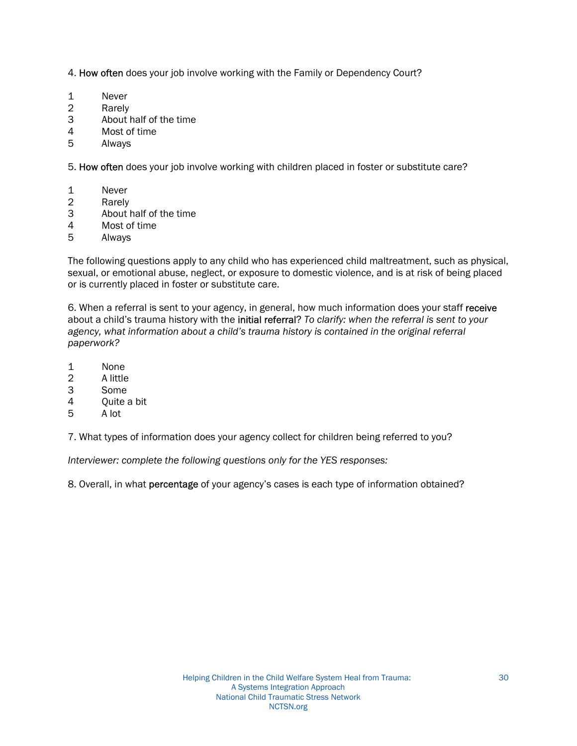4. How often does your job involve working with the Family or Dependency Court?

- 1 Never
- 2 Rarely
- 3 About half of the time
- 4 Most of time
- 5 Always

5. How often does your job involve working with children placed in foster or substitute care?

- 1 Never
- 2 Rarely
- 3 About half of the time
- 4 Most of time
- 5 Always

The following questions apply to any child who has experienced child maltreatment, such as physical, sexual, or emotional abuse, neglect, or exposure to domestic violence, and is at risk of being placed or is currently placed in foster or substitute care.

6. When a referral is sent to your agency, in general, how much information does your staff receive about a child's trauma history with the initial referral? To clarify: when the referral is sent to your agency, what information about a child's trauma history is contained in the original referral *paperwork?*

- 1 None
- 2 A little
- 3 Some
- 4 Quite a bit
- 5 A lot

7. What types of information does your agency collect for children being referred to you?

*Interviewer: complete the following questions only for the YES responses:* 

8. Overall, in what **percentage** of your agency's cases is each type of information obtained?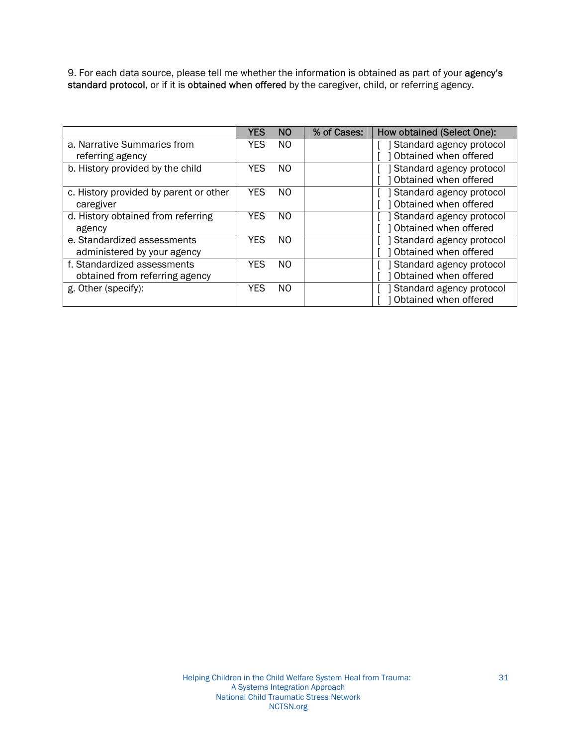9. For each data source, please tell me whether the information is obtained as part of your agency's standard protocol, or if it is obtained when offered by the caregiver, child, or referring agency.

|                                        | YES        | N <sub>O</sub> | % of Cases: | How obtained (Select One): |
|----------------------------------------|------------|----------------|-------------|----------------------------|
| a. Narrative Summaries from            | YES        | NO.            |             | Standard agency protocol   |
| referring agency                       |            |                |             | Obtained when offered      |
| b. History provided by the child       | <b>YES</b> | NO.            |             | Standard agency protocol   |
|                                        |            |                |             | Obtained when offered      |
| c. History provided by parent or other | <b>YES</b> | NO.            |             | Standard agency protocol   |
| caregiver                              |            |                |             | Obtained when offered      |
| d. History obtained from referring     | YES        | NO.            |             | Standard agency protocol   |
| agency                                 |            |                |             | Obtained when offered      |
| e. Standardized assessments            | YES        | NO.            |             | Standard agency protocol   |
| administered by your agency            |            |                |             | Obtained when offered      |
| f. Standardized assessments            | <b>YES</b> | N <sub>O</sub> |             | Standard agency protocol   |
| obtained from referring agency         |            |                |             | Obtained when offered      |
| g. Other (specify):                    | YES        | NO.            |             | Standard agency protocol   |
|                                        |            |                |             | Obtained when offered      |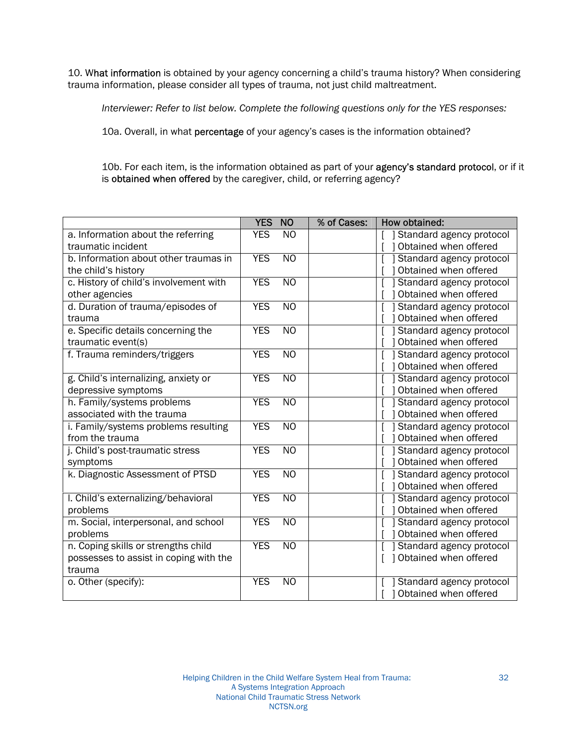10. What information is obtained by your agency concerning a child's trauma history? When considering trauma information, please consider all types of trauma, not just child maltreatment.

*Interviewer: Refer to list below. Complete the following questions only for the YES responses:* 

10a. Overall, in what percentage of your agency's cases is the information obtained?

10b. For each item, is the information obtained as part of your agency's standard protocol, or if it is obtained when offered by the caregiver, child, or referring agency?

|                                        | <b>YES</b> | <b>NO</b>       | % of Cases: | How obtained:            |
|----------------------------------------|------------|-----------------|-------------|--------------------------|
| a. Information about the referring     | <b>YES</b> | N <sub>O</sub>  |             | Standard agency protocol |
| traumatic incident                     |            |                 |             | Obtained when offered    |
| b. Information about other traumas in  | <b>YES</b> | $\overline{NO}$ |             | Standard agency protocol |
| the child's history                    |            |                 |             | Obtained when offered    |
| c. History of child's involvement with | <b>YES</b> | N <sub>O</sub>  |             | Standard agency protocol |
| other agencies                         |            |                 |             | Obtained when offered    |
| d. Duration of trauma/episodes of      | <b>YES</b> | N <sub>O</sub>  |             | Standard agency protocol |
| trauma                                 |            |                 |             | Obtained when offered    |
| e. Specific details concerning the     | <b>YES</b> | N <sub>O</sub>  |             | Standard agency protocol |
| traumatic event(s)                     |            |                 |             | Obtained when offered    |
| f. Trauma reminders/triggers           | <b>YES</b> | N <sub>O</sub>  |             | Standard agency protocol |
|                                        |            |                 |             | Obtained when offered    |
| g. Child's internalizing, anxiety or   | <b>YES</b> | N <sub>O</sub>  |             | Standard agency protocol |
| depressive symptoms                    |            |                 |             | Obtained when offered    |
| h. Family/systems problems             | <b>YES</b> | <b>NO</b>       |             | Standard agency protocol |
| associated with the trauma             |            |                 |             | Obtained when offered    |
| i. Family/systems problems resulting   | <b>YES</b> | <b>NO</b>       |             | Standard agency protocol |
| from the trauma                        |            |                 |             | Obtained when offered    |
| j. Child's post-traumatic stress       | <b>YES</b> | $\overline{NO}$ |             | Standard agency protocol |
| symptoms                               |            |                 |             | Obtained when offered    |
| k. Diagnostic Assessment of PTSD       | <b>YES</b> | $\overline{NO}$ |             | Standard agency protocol |
|                                        |            |                 |             | Obtained when offered    |
| I. Child's externalizing/behavioral    | <b>YES</b> | N <sub>O</sub>  |             | Standard agency protocol |
| problems                               |            |                 |             | Obtained when offered    |
| m. Social, interpersonal, and school   | <b>YES</b> | N <sub>O</sub>  |             | Standard agency protocol |
| problems                               |            |                 |             | Obtained when offered    |
| n. Coping skills or strengths child    | <b>YES</b> | $\overline{NO}$ |             | Standard agency protocol |
| possesses to assist in coping with the |            |                 |             | 1 Obtained when offered  |
| trauma                                 |            |                 |             |                          |
| o. Other (specify):                    | <b>YES</b> | N <sub>O</sub>  |             | Standard agency protocol |
|                                        |            |                 |             | Obtained when offered    |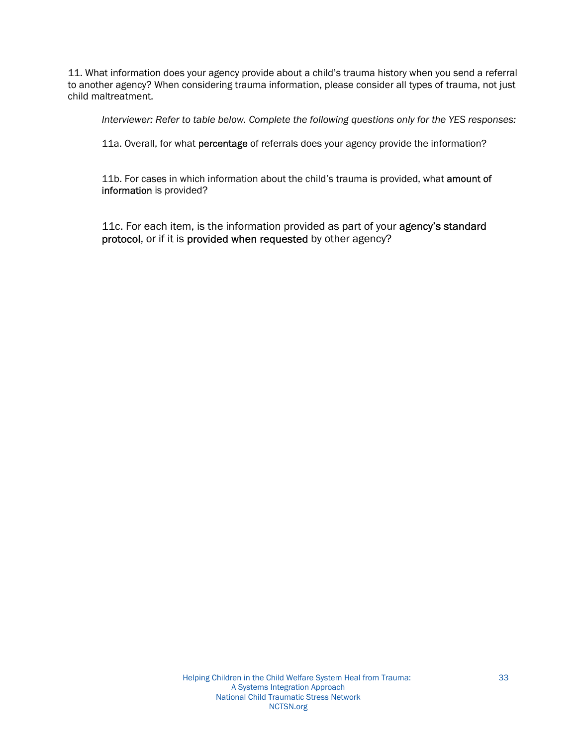11. What information does your agency provide about a child's trauma history when you send a referral to another agency? When considering trauma information, please consider all types of trauma, not just child maltreatment.

*Interviewer: Refer to table below. Complete the following questions only for the YES responses:* 

11a. Overall, for what percentage of referrals does your agency provide the information?

11b. For cases in which information about the child's trauma is provided, what amount of information is provided?

11c. For each item, is the information provided as part of your agency's standard protocol, or if it is provided when requested by other agency?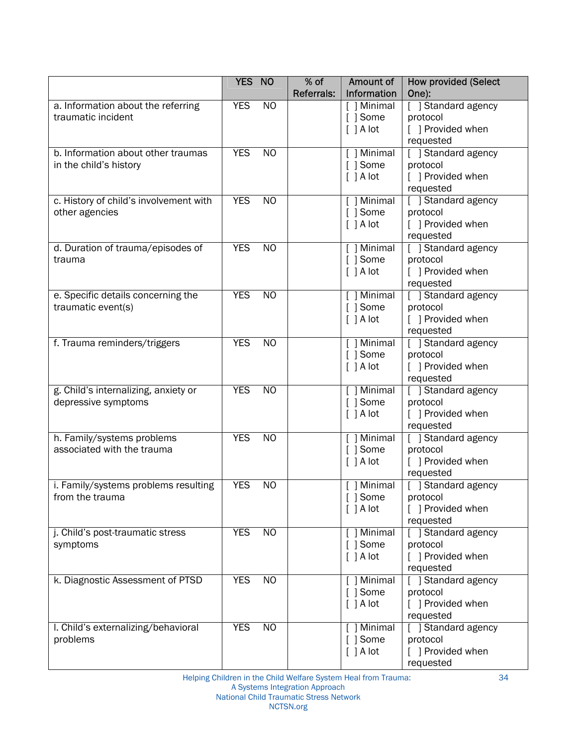|                                             | YES NO     |                 | $%$ of            | Amount of               | <b>How provided (Select</b>     |
|---------------------------------------------|------------|-----------------|-------------------|-------------------------|---------------------------------|
|                                             |            |                 | <b>Referrals:</b> | Information             | One):                           |
| a. Information about the referring          | <b>YES</b> | N <sub>O</sub>  |                   | $[ ]$ Minimal           | [ ] Standard agency             |
| traumatic incident                          |            |                 |                   | [ ] Some                | protocol                        |
|                                             |            |                 |                   | [ ] A lot               | [ ] Provided when               |
|                                             |            |                 |                   |                         | requested                       |
| b. Information about other traumas          | <b>YES</b> | N <sub>O</sub>  |                   | $[ ]$ Minimal           | [ ] Standard agency             |
| in the child's history                      |            |                 |                   | [ ] Some                | protocol                        |
|                                             |            |                 |                   | [ ] A lot               | [ ] Provided when               |
|                                             |            |                 |                   |                         | requested                       |
| c. History of child's involvement with      | <b>YES</b> | N <sub>O</sub>  |                   | [ ] Minimal             | [ ] Standard agency             |
| other agencies                              |            |                 |                   | [ ] Some                | protocol                        |
|                                             |            |                 |                   | [ ] A lot               | [ ] Provided when               |
|                                             | <b>YES</b> | N <sub>O</sub>  |                   |                         | requested                       |
| d. Duration of trauma/episodes of<br>trauma |            |                 |                   | [ ] Minimal<br>[ ] Some | [ ] Standard agency<br>protocol |
|                                             |            |                 |                   | [ ] A lot               | [ ] Provided when               |
|                                             |            |                 |                   |                         | requested                       |
| e. Specific details concerning the          | <b>YES</b> | N <sub>O</sub>  |                   | [ ] Minimal             | [ ] Standard agency             |
| traumatic event(s)                          |            |                 |                   | [ ] Some                | protocol                        |
|                                             |            |                 |                   | [ ] A lot               | [ ] Provided when               |
|                                             |            |                 |                   |                         | requested                       |
| f. Trauma reminders/triggers                | <b>YES</b> | $\overline{NO}$ |                   | [ ] Minimal             | [ ] Standard agency             |
|                                             |            |                 |                   | [ ] Some                | protocol                        |
|                                             |            |                 |                   | [ ] A lot               | [ ] Provided when               |
|                                             |            |                 |                   |                         | requested                       |
| g. Child's internalizing, anxiety or        | <b>YES</b> | N <sub>O</sub>  |                   | [ ] Minimal             | [ ] Standard agency             |
| depressive symptoms                         |            |                 |                   | [ ] Some                | protocol                        |
|                                             |            |                 |                   | [ ] A lot               | [ ] Provided when               |
|                                             |            |                 |                   |                         | requested                       |
| h. Family/systems problems                  | <b>YES</b> | N <sub>O</sub>  |                   | [ ] Minimal             | [ ] Standard agency             |
| associated with the trauma                  |            |                 |                   | [ ] Some                | protocol                        |
|                                             |            |                 |                   | [ ] A lot               | [ ] Provided when               |
|                                             |            |                 |                   |                         | requested                       |
| i. Family/systems problems resulting        | <b>YES</b> | N <sub>O</sub>  |                   | $[ ]$ Minimal           | [ ] Standard agency             |
| from the trauma                             |            |                 |                   | [ ] Some                | protocol                        |
|                                             |            |                 |                   | $\lceil$ $\rceil$ A lot | [ ] Provided when               |
|                                             |            |                 |                   |                         | requested                       |
| j. Child's post-traumatic stress            | <b>YES</b> | N <sub>O</sub>  |                   | [ ] Minimal             | [ ] Standard agency             |
| symptoms                                    |            |                 |                   | [ ] Some                | protocol                        |
|                                             |            |                 |                   | [ ] A lot               | [ ] Provided when               |
|                                             |            |                 |                   |                         | requested                       |
| k. Diagnostic Assessment of PTSD            | <b>YES</b> | N <sub>O</sub>  |                   | [ ] Minimal             | [ ] Standard agency             |
|                                             |            |                 |                   | [ ] Some<br>[ ] A lot   | protocol<br>[ ] Provided when   |
|                                             |            |                 |                   |                         | requested                       |
| I. Child's externalizing/behavioral         | <b>YES</b> | NO              |                   | $[ ]$ Minimal           | [ ] Standard agency             |
| problems                                    |            |                 |                   | [ ] Some                | protocol                        |
|                                             |            |                 |                   | [ ] A lot               | [ ] Provided when               |
|                                             |            |                 |                   |                         | requested                       |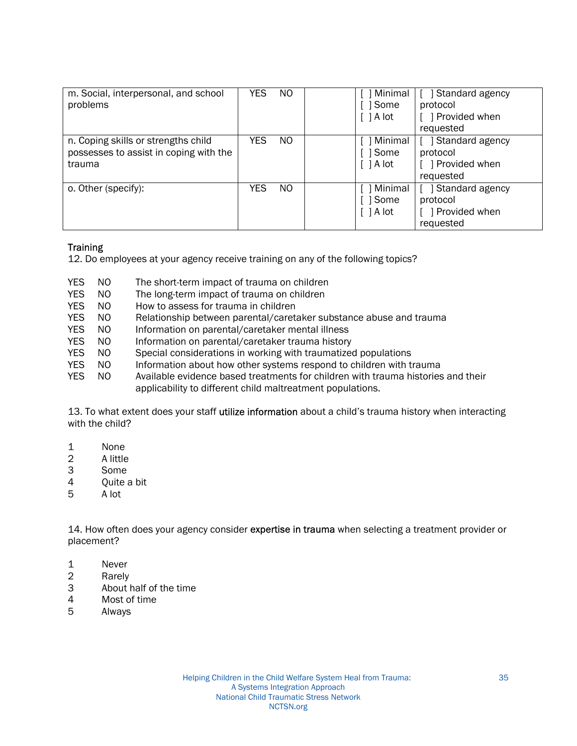| m. Social, interpersonal, and school<br>problems                                        | YES.       | NO. | [ ] Minimal<br>[ ] Some<br>$\lceil$   A lot | Standard agency<br>protocol<br>] Provided when<br>requested |
|-----------------------------------------------------------------------------------------|------------|-----|---------------------------------------------|-------------------------------------------------------------|
| n. Coping skills or strengths child<br>possesses to assist in coping with the<br>trauma | YES.       | NO  | 1 Minimal<br>[ ] Some<br>$\lceil$   A lot   | Standard agency<br>protocol<br>Provided when<br>requested   |
| o. Other (specify):                                                                     | <b>YES</b> | NO  | 1 Minimal<br>l Some<br>$\lceil$   A lot     | Standard agency<br>protocol<br>] Provided when<br>requested |

#### **Training**

12. Do employees at your agency receive training on any of the following topics?

- YES NO The short-term impact of trauma on children
- YES NO The long-term impact of trauma on children
- YES NO How to assess for trauma in children
- YES NO Relationship between parental/caretaker substance abuse and trauma
- YES NO Information on parental/caretaker mental illness
- YES NO Information on parental/caretaker trauma history
- YES NO Special considerations in working with traumatized populations
- YES NO Information about how other systems respond to children with trauma
- YES NO Available evidence based treatments for children with trauma histories and their applicability to different child maltreatment populations.

13. To what extent does your staff utilize information about a child's trauma history when interacting with the child?

- 1 None
- 2 A little
- 3 Some
- 4 Quite a bit
- 5 A lot

14. How often does your agency consider expertise in trauma when selecting a treatment provider or placement?

- 1 Never
- 2 Rarely
- 3 About half of the time
- 4 Most of time
- 5 Always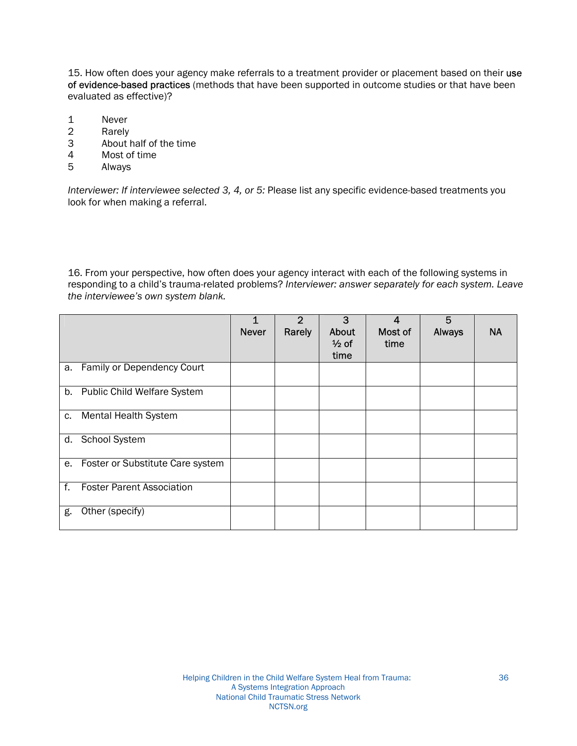15. How often does your agency make referrals to a treatment provider or placement based on their use of evidence-based practices (methods that have been supported in outcome studies or that have been evaluated as effective)?

- 1 Never<br>2 Rarely
- **Rarely**
- 3 About half of the time
- 4 Most of time<br>5 Always
- **Always**

*Interviewer: If interviewee selected 3, 4, or 5:* Please list any specific evidence-based treatments you look for when making a referral.

16. From your perspective, how often does your agency interact with each of the following systems in responding to a child's trauma-related problems? Interviewer: answer separately for each system. Leave the interviewee's own system blank.

|    |                                    | <b>Never</b> | 2<br>Rarely | 3<br>About<br>$\frac{1}{2}$ of<br>time | 4<br>Most of<br>time | 5<br><b>Always</b> | <b>NA</b> |
|----|------------------------------------|--------------|-------------|----------------------------------------|----------------------|--------------------|-----------|
| a. | Family or Dependency Court         |              |             |                                        |                      |                    |           |
| b. | <b>Public Child Welfare System</b> |              |             |                                        |                      |                    |           |
| c. | <b>Mental Health System</b>        |              |             |                                        |                      |                    |           |
|    | d. School System                   |              |             |                                        |                      |                    |           |
| е. | Foster or Substitute Care system   |              |             |                                        |                      |                    |           |
| f. | <b>Foster Parent Association</b>   |              |             |                                        |                      |                    |           |
| g. | Other (specify)                    |              |             |                                        |                      |                    |           |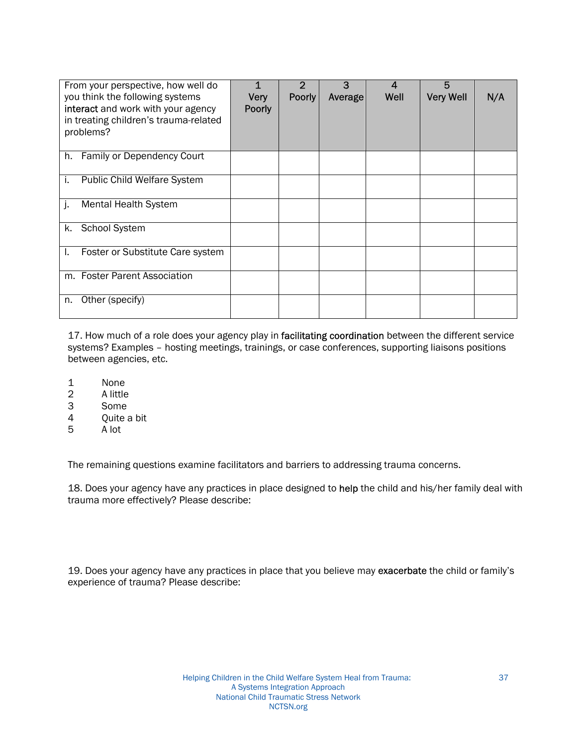| From your perspective, how well do<br>you think the following systems<br>interact and work with your agency<br>in treating children's trauma-related<br>problems? | 1<br><b>Very</b><br><b>Poorly</b> | $\overline{2}$<br><b>Poorly</b> | 3<br>Average | 4<br>Well | 5<br><b>Very Well</b> | N/A |
|-------------------------------------------------------------------------------------------------------------------------------------------------------------------|-----------------------------------|---------------------------------|--------------|-----------|-----------------------|-----|
| Family or Dependency Court<br>h.                                                                                                                                  |                                   |                                 |              |           |                       |     |
| <b>Public Child Welfare System</b><br>i.                                                                                                                          |                                   |                                 |              |           |                       |     |
| j.<br><b>Mental Health System</b>                                                                                                                                 |                                   |                                 |              |           |                       |     |
| <b>School System</b><br>k.                                                                                                                                        |                                   |                                 |              |           |                       |     |
| Foster or Substitute Care system<br>I.                                                                                                                            |                                   |                                 |              |           |                       |     |
| m. Foster Parent Association                                                                                                                                      |                                   |                                 |              |           |                       |     |
| Other (specify)<br>n.                                                                                                                                             |                                   |                                 |              |           |                       |     |

17. How much of a role does your agency play in facilitating coordination between the different service systems? Examples - hosting meetings, trainings, or case conferences, supporting liaisons positions between agencies, etc.

- 1 None<br>2 A little
- 2 A little
- 3 Some
- 4 Quite a bit
- 5 A lot

The remaining questions examine facilitators and barriers to addressing trauma concerns.

18. Does your agency have any practices in place designed to help the child and his/her family deal with trauma more effectively? Please describe:

19. Does your agency have any practices in place that you believe may exacerbate the child or family's experience of trauma? Please describe: